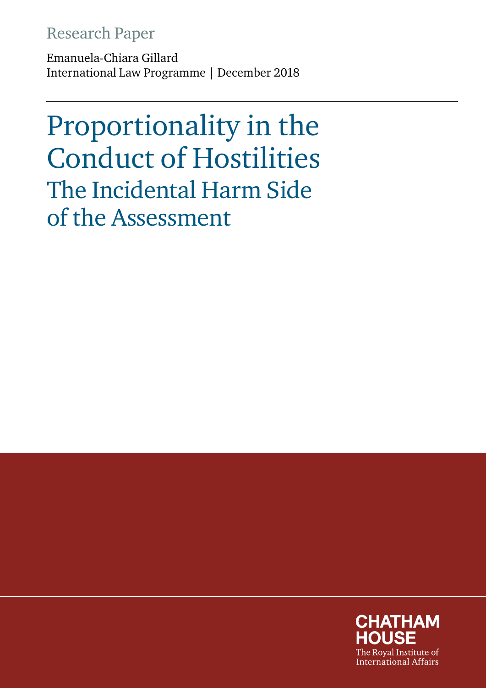# Research Paper

Emanuela-Chiara Gillard International Law Programme | December 2018

Proportionality in the Conduct of Hostilities The Incidental Harm Side of the Assessment

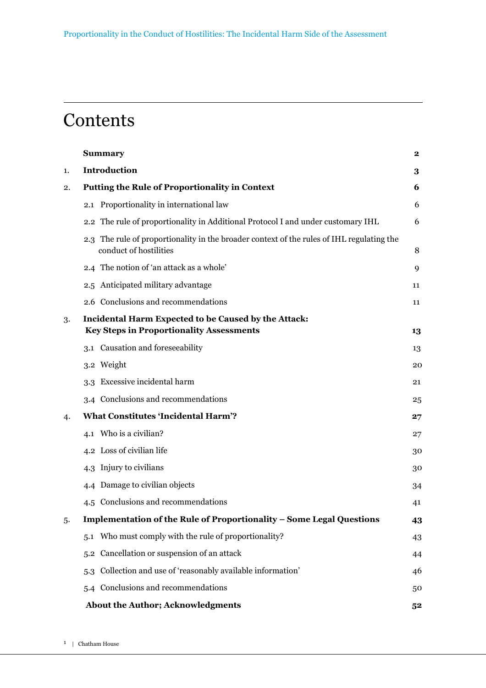# **Contents**

|    | <b>Summary</b>                                                                                                      | $\mathbf{2}$ |
|----|---------------------------------------------------------------------------------------------------------------------|--------------|
| 1. | <b>Introduction</b>                                                                                                 | 3            |
| 2. | <b>Putting the Rule of Proportionality in Context</b>                                                               | 6            |
|    | 2.1 Proportionality in international law                                                                            | 6            |
|    | 2.2 The rule of proportionality in Additional Protocol I and under customary IHL                                    | 6            |
|    | 2.3 The rule of proportionality in the broader context of the rules of IHL regulating the<br>conduct of hostilities | 8            |
|    | 2.4 The notion of 'an attack as a whole'                                                                            | 9            |
|    | 2.5 Anticipated military advantage                                                                                  | 11           |
|    | 2.6 Conclusions and recommendations                                                                                 | 11           |
| 3. | Incidental Harm Expected to be Caused by the Attack:<br><b>Key Steps in Proportionality Assessments</b>             | 13           |
|    | 3.1 Causation and foreseeability                                                                                    | 13           |
|    | 3.2 Weight                                                                                                          | 20           |
|    | 3.3 Excessive incidental harm                                                                                       | 21           |
|    | 3.4 Conclusions and recommendations                                                                                 | 25           |
| 4. | <b>What Constitutes 'Incidental Harm'?</b>                                                                          | 27           |
|    | 4.1 Who is a civilian?                                                                                              | 27           |
|    | 4.2 Loss of civilian life                                                                                           | 30           |
|    | 4.3 Injury to civilians                                                                                             | 30           |
|    | 4.4 Damage to civilian objects                                                                                      | 34           |
|    | 4.5 Conclusions and recommendations                                                                                 | 41           |
| 5. | Implementation of the Rule of Proportionality - Some Legal Questions                                                | 43           |
|    | 5.1 Who must comply with the rule of proportionality?                                                               | 43           |
|    | 5.2 Cancellation or suspension of an attack                                                                         | 44           |
|    | Collection and use of 'reasonably available information'<br>5.3                                                     | 46           |
|    | 5.4 Conclusions and recommendations                                                                                 | 50           |
|    | <b>About the Author; Acknowledgments</b>                                                                            | 52           |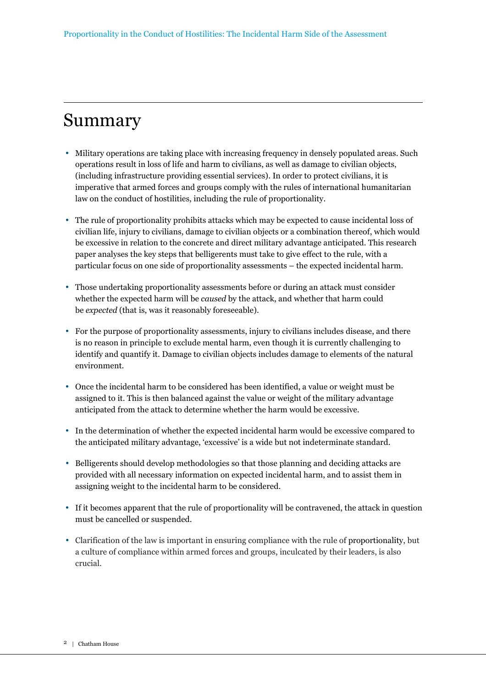# Summary

- Military operations are taking place with increasing frequency in densely populated areas. Such operations result in loss of life and harm to civilians, as well as damage to civilian objects, (including infrastructure providing essential services). In order to protect civilians, it is imperative that armed forces and groups comply with the rules of international humanitarian law on the conduct of hostilities, including the rule of proportionality.
- The rule of proportionality prohibits attacks which may be expected to cause incidental loss of civilian life, injury to civilians, damage to civilian objects or a combination thereof, which would be excessive in relation to the concrete and direct military advantage anticipated. This research paper analyses the key steps that belligerents must take to give effect to the rule, with a particular focus on one side of proportionality assessments – the expected incidental harm.
- Those undertaking proportionality assessments before or during an attack must consider whether the expected harm will be *caused* by the attack, and whether that harm could be *expected* (that is, was it reasonably foreseeable).
- For the purpose of proportionality assessments, injury to civilians includes disease, and there is no reason in principle to exclude mental harm, even though it is currently challenging to identify and quantify it. Damage to civilian objects includes damage to elements of the natural environment.
- Once the incidental harm to be considered has been identified, a value or weight must be assigned to it. This is then balanced against the value or weight of the military advantage anticipated from the attack to determine whether the harm would be excessive.
- In the determination of whether the expected incidental harm would be excessive compared to the anticipated military advantage, 'excessive' is a wide but not indeterminate standard.
- Belligerents should develop methodologies so that those planning and deciding attacks are provided with all necessary information on expected incidental harm, and to assist them in assigning weight to the incidental harm to be considered.
- If it becomes apparent that the rule of proportionality will be contravened, the attack in question must be cancelled or suspended.
- Clarification of the law is important in ensuring compliance with the rule of proportionality, but a culture of compliance within armed forces and groups, inculcated by their leaders, is also crucial.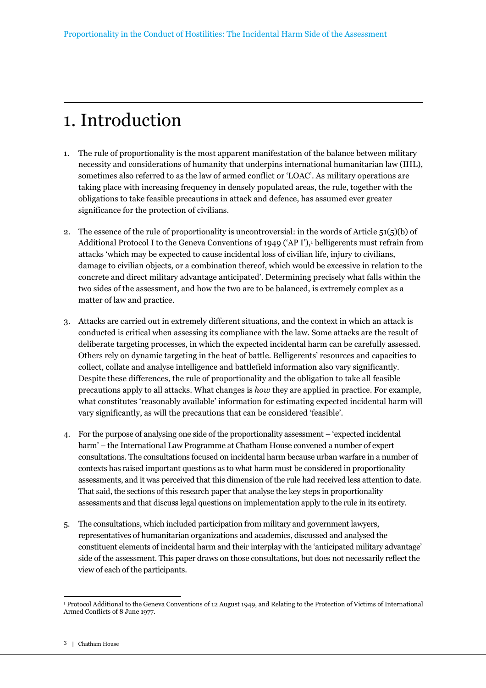# 1. Introduction

- 1. The rule of proportionality is the most apparent manifestation of the balance between military necessity and considerations of humanity that underpins international humanitarian law (IHL), sometimes also referred to as the law of armed conflict or 'LOAC'. As military operations are taking place with increasing frequency in densely populated areas, the rule, together with the obligations to take feasible precautions in attack and defence, has assumed ever greater significance for the protection of civilians.
- 2. The essence of the rule of proportionality is uncontroversial: in the words of Article  $51(5)(b)$  of Additional Protocol I to the Geneva Conventions of 1949 ('AP I'), helligerents must refrain from attacks 'which may be expected to cause incidental loss of civilian life, injury to civilians, damage to civilian objects, or a combination thereof, which would be excessive in relation to the concrete and direct military advantage anticipated'. Determining precisely what falls within the two sides of the assessment, and how the two are to be balanced, is extremely complex as a matter of law and practice.
- 3. Attacks are carried out in extremely different situations, and the context in which an attack is conducted is critical when assessing its compliance with the law. Some attacks are the result of deliberate targeting processes, in which the expected incidental harm can be carefully assessed. Others rely on dynamic targeting in the heat of battle. Belligerents' resources and capacities to collect, collate and analyse intelligence and battlefield information also vary significantly. Despite these differences, the rule of proportionality and the obligation to take all feasible precautions apply to all attacks. What changes is *how* they are applied in practice. For example, what constitutes 'reasonably available' information for estimating expected incidental harm will vary significantly, as will the precautions that can be considered 'feasible'.
- 4. For the purpose of analysing one side of the proportionality assessment 'expected incidental harm' – the International Law Programme at Chatham House convened a number of expert consultations. The consultations focused on incidental harm because urban warfare in a number of contexts has raised important questions as to what harm must be considered in proportionality assessments, and it was perceived that this dimension of the rule had received less attention to date. That said, the sections of this research paper that analyse the key steps in proportionality assessments and that discuss legal questions on implementation apply to the rule in its entirety.
- 5. The consultations, which included participation from military and government lawyers, representatives of humanitarian organizations and academics, discussed and analysed the constituent elements of incidental harm and their interplay with the 'anticipated military advantage' side of the assessment. This paper draws on those consultations, but does not necessarily reflect the view of each of the participants.

 $\overline{a}$ 1 Protocol Additional to the Geneva Conventions of 12 August 1949, and Relating to the Protection of Victims of International Armed Conflicts of 8 June 1977.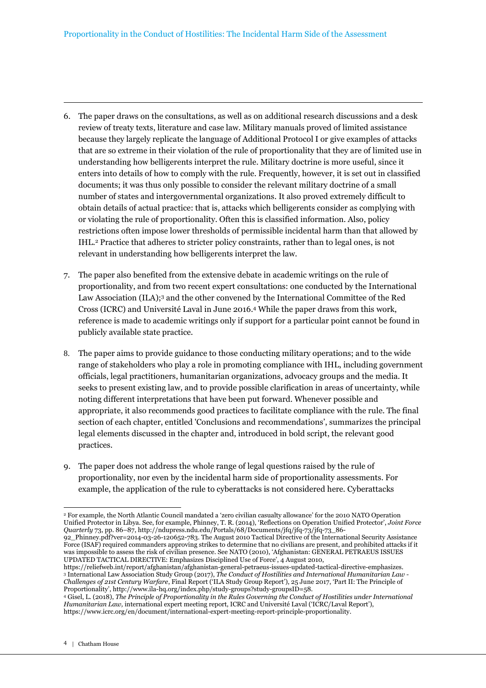- 6. The paper draws on the consultations, as well as on additional research discussions and a desk review of treaty texts, literature and case law. Military manuals proved of limited assistance because they largely replicate the language of Additional Protocol I or give examples of attacks that are so extreme in their violation of the rule of proportionality that they are of limited use in understanding how belligerents interpret the rule. Military doctrine is more useful, since it enters into details of how to comply with the rule. Frequently, however, it is set out in classified documents; it was thus only possible to consider the relevant military doctrine of a small number of states and intergovernmental organizations. It also proved extremely difficult to obtain details of actual practice: that is, attacks which belligerents consider as complying with or violating the rule of proportionality. Often this is classified information. Also, policy restrictions often impose lower thresholds of permissible incidental harm than that allowed by IHL.2 Practice that adheres to stricter policy constraints, rather than to legal ones, is not relevant in understanding how belligerents interpret the law.
- 7. The paper also benefited from the extensive debate in academic writings on the rule of proportionality, and from two recent expert consultations: one conducted by the International Law Association (ILA);3 and the other convened by the International Committee of the Red Cross (ICRC) and Université Laval in June 2016.4 While the paper draws from this work, reference is made to academic writings only if support for a particular point cannot be found in publicly available state practice.
- 8. The paper aims to provide guidance to those conducting military operations; and to the wide range of stakeholders who play a role in promoting compliance with IHL, including government officials, legal practitioners, humanitarian organizations, advocacy groups and the media. It seeks to present existing law, and to provide possible clarification in areas of uncertainty, while noting different interpretations that have been put forward. Whenever possible and appropriate, it also recommends good practices to facilitate compliance with the rule. The final section of each chapter, entitled 'Conclusions and recommendations', summarizes the principal legal elements discussed in the chapter and, introduced in bold script, the relevant good practices.
- 9. The paper does not address the whole range of legal questions raised by the rule of proportionality, nor even by the incidental harm side of proportionality assessments. For example, the application of the rule to cyberattacks is not considered here. Cyberattacks

92\_Phinney.pdf?ver=2014-03-26-120652-783. The August 2010 Tactical Directive of the International Security Assistance Force (ISAF) required commanders approving strikes to determine that no civilians are present, and prohibited attacks if it was impossible to assess the risk of civilian presence. See NATO (2010), 'Afghanistan: GENERAL PETRAEUS ISSUES UPDATED TACTICAL DIRECTIVE: Emphasizes Disciplined Use of Force', 4 August 2010,

<sup>2</sup> For example, the North Atlantic Council mandated a 'zero civilian casualty allowance' for the 2010 NATO Operation Unified Protector in Libya. See, for example, Phinney, T. R. (2014), 'Reflections on Operation Unified Protector', *Joint Force Quarterly* 73, pp. 86–87, http://ndupress.ndu.edu/Portals/68/Documents/jfq/jfq-73/jfq-73\_86-

https://reliefweb.int/report/afghanistan/afghanistan-general-petraeus-issues-updated-tactical-directive-emphasizes. <sup>3</sup> International Law Association Study Group (2017), *The Conduct of Hostilities and International Humanitarian Law - Challenges of 21st Century Warfare*, Final Report ('ILA Study Group Report'), 25 June 2017, 'Part II: The Principle of Proportionality', http://www.ila-hq.org/index.php/study-groups?study-groupsID=58.

<sup>4</sup> Gisel, L. (2018), *The Principle of Proportionality in the Rules Governing the Conduct of Hostilities under International Humanitarian Law,* international expert meeting report, ICRC and Université Laval ('ICRC/Laval Report'), https://www.icrc.org/en/document/international-expert-meeting-report-principle-proportionality.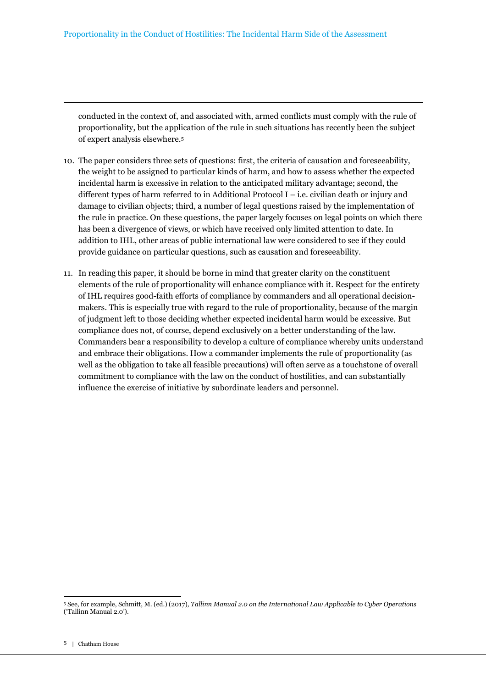conducted in the context of, and associated with, armed conflicts must comply with the rule of proportionality, but the application of the rule in such situations has recently been the subject of expert analysis elsewhere.<sup>5</sup>

- 10. The paper considers three sets of questions: first, the criteria of causation and foreseeability, the weight to be assigned to particular kinds of harm, and how to assess whether the expected incidental harm is excessive in relation to the anticipated military advantage; second, the different types of harm referred to in Additional Protocol I – i.e. civilian death or injury and damage to civilian objects; third, a number of legal questions raised by the implementation of the rule in practice. On these questions, the paper largely focuses on legal points on which there has been a divergence of views, or which have received only limited attention to date. In addition to IHL, other areas of public international law were considered to see if they could provide guidance on particular questions, such as causation and foreseeability.
- 11. In reading this paper, it should be borne in mind that greater clarity on the constituent elements of the rule of proportionality will enhance compliance with it. Respect for the entirety of IHL requires good-faith efforts of compliance by commanders and all operational decisionmakers. This is especially true with regard to the rule of proportionality, because of the margin of judgment left to those deciding whether expected incidental harm would be excessive. But compliance does not, of course, depend exclusively on a better understanding of the law. Commanders bear a responsibility to develop a culture of compliance whereby units understand and embrace their obligations. How a commander implements the rule of proportionality (as well as the obligation to take all feasible precautions) will often serve as a touchstone of overall commitment to compliance with the law on the conduct of hostilities, and can substantially influence the exercise of initiative by subordinate leaders and personnel.

<sup>5</sup> See, for example, Schmitt, M. (ed.) (2017), *Tallinn Manual 2.0 on the International Law Applicable to Cyber Operations*  ('Tallinn Manual 2.0').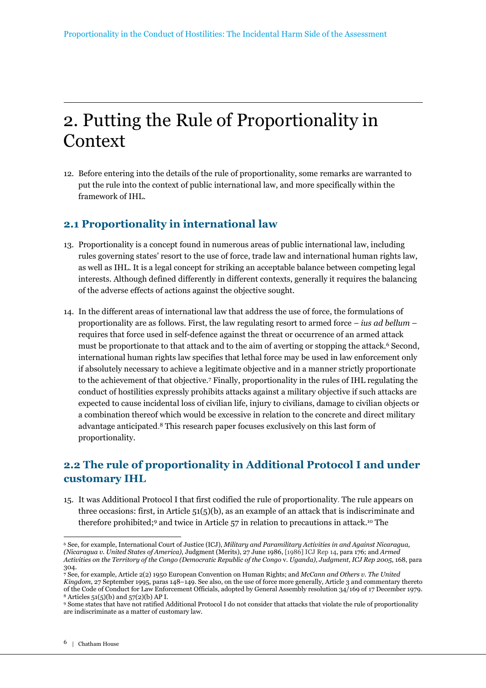# 2. Putting the Rule of Proportionality in **Context**

12. Before entering into the details of the rule of proportionality, some remarks are warranted to put the rule into the context of public international law, and more specifically within the framework of IHL.

# **2.1 Proportionality in international law**

- 13. Proportionality is a concept found in numerous areas of public international law, including rules governing states' resort to the use of force, trade law and international human rights law, as well as IHL. It is a legal concept for striking an acceptable balance between competing legal interests. Although defined differently in different contexts, generally it requires the balancing of the adverse effects of actions against the objective sought.
- 14. In the different areas of international law that address the use of force, the formulations of proportionality are as follows. First, the law regulating resort to armed force – *ius ad bellum* – requires that force used in self-defence against the threat or occurrence of an armed attack must be proportionate to that attack and to the aim of averting or stopping the attack.<sup>6</sup> Second, international human rights law specifies that lethal force may be used in law enforcement only if absolutely necessary to achieve a legitimate objective and in a manner strictly proportionate to the achievement of that objective.<sup>7</sup> Finally, proportionality in the rules of IHL regulating the conduct of hostilities expressly prohibits attacks against a military objective if such attacks are expected to cause incidental loss of civilian life, injury to civilians, damage to civilian objects or a combination thereof which would be excessive in relation to the concrete and direct military advantage anticipated. <sup>8</sup> This research paper focuses exclusively on this last form of proportionality.

# **2.2 The rule of proportionality in Additional Protocol I and under customary IHL**

15. It was Additional Protocol I that first codified the rule of proportionality. The rule appears on three occasions: first, in Article  $51(5)(b)$ , as an example of an attack that is indiscriminate and therefore prohibited;9 and twice in Article 57 in relation to precautions in attack.10 The

 $\overline{a}$ <sup>6</sup> See, for example, International Court of Justice (ICJ), *Military and Paramilitary Activities in and Against Nicaragua, (Nicaragua v. United States of America),* Judgment (Merits), 27 June 1986, [1986] ICJ Rep 14, para 176; and *Armed Activities on the Territory of the Congo (Democratic Republic of the Congo* v. *Uganda), Judgment, ICJ Rep 2005*, 168, para 304.

**<sup>7</sup>** See, for example, Article 2(2) 1950 European Convention on Human Rights; and *McCann and Others v. The United Kingdom*, 27 September 1995, paras 148–149. See also, on the use of force more generally, Article 3 and commentary thereto of the Code of Conduct for Law Enforcement Officials, adopted by General Assembly resolution 34/169 of 17 December 1979. <sup>8</sup> Articles 51(5)(b) and 57(2)(b) AP I.

<sup>9</sup> Some states that have not ratified Additional Protocol I do not consider that attacks that violate the rule of proportionality are indiscriminate as a matter of customary law.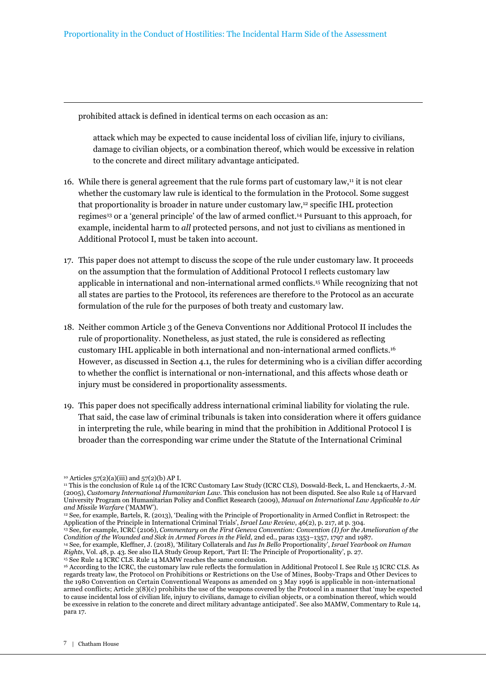prohibited attack is defined in identical terms on each occasion as an:

attack which may be expected to cause incidental loss of civilian life, injury to civilians, damage to civilian objects, or a combination thereof, which would be excessive in relation to the concrete and direct military advantage anticipated.

- 16. While there is general agreement that the rule forms part of customary law, $\mu$  it is not clear whether the customary law rule is identical to the formulation in the Protocol. Some suggest that proportionality is broader in nature under customary law,12 specific IHL protection regimes13 or a 'general principle' of the law of armed conflict.14 Pursuant to this approach, for example, incidental harm to *all* protected persons, and not just to civilians as mentioned in Additional Protocol I, must be taken into account.
- 17. This paper does not attempt to discuss the scope of the rule under customary law. It proceeds on the assumption that the formulation of Additional Protocol I reflects customary law applicable in international and non-international armed conflicts.15 While recognizing that not all states are parties to the Protocol, its references are therefore to the Protocol as an accurate formulation of the rule for the purposes of both treaty and customary law.
- 18. Neither common Article 3 of the Geneva Conventions nor Additional Protocol II includes the rule of proportionality. Nonetheless, as just stated, the rule is considered as reflecting customary IHL applicable in both international and non-international armed conflicts.<sup>16</sup> However, as discussed in Section 4.1, the rules for determining who is a civilian differ according to whether the conflict is international or non-international, and this affects whose death or injury must be considered in proportionality assessments.
- 19. This paper does not specifically address international criminal liability for violating the rule. That said, the case law of criminal tribunals is taken into consideration where it offers guidance in interpreting the rule, while bearing in mind that the prohibition in Additional Protocol I is broader than the corresponding war crime under the Statute of the International Criminal

<sup>14</sup> See, for example, Kleffner, J. (2018), 'Military Collaterals and *Ius In Bello* Proportionality', *Israel Yearbook on Human Rights*, Vol. 48, p. 43. See also ILA Study Group Report, 'Part II: The Principle of Proportionality', p. 27. <sup>15</sup> See Rule 14 ICRC CLS. Rule 14 MAMW reaches the same conclusion.

<sup>10</sup> Articles 57(2)(a)(iii) and 57(2)(b) AP I.

<sup>11</sup> This is the conclusion of Rule 14 of the ICRC Customary Law Study (ICRC CLS), Doswald-Beck, L. and Henckaerts, J.-M. (2005), *Customary International Humanitarian Law*. This conclusion has not been disputed. See also Rule 14 of Harvard University Program on Humanitarian Policy and Conflict Research (2009), *Manual on International Law Applicable to Air and Missile Warfare* ('MAMW').

<sup>12</sup> See, for example, Bartels, R. (2013), 'Dealing with the Principle of Proportionality in Armed Conflict in Retrospect: the Application of the Principle in International Criminal Trials', *Israel Law Review*, 46(2), p. 217, at p. 304.

<sup>13</sup> See, for example, ICRC (2106), *Commentary on the First Geneva Convention: Convention (I) for the Amelioration of the Condition of the Wounded and Sick in Armed Forces in the Field*, 2nd ed., paras 1353–1357, 1797 and 1987.

<sup>16</sup> According to the ICRC, the customary law rule reflects the formulation in Additional Protocol I. See Rule 15 ICRC CLS. As regards treaty law, the Protocol on Prohibitions or Restrictions on the Use of Mines, Booby-Traps and Other Devices to the 1980 Convention on Certain Conventional Weapons as amended on 3 May 1996 is applicable in non-international armed conflicts; Article 3(8)(c) prohibits the use of the weapons covered by the Protocol in a manner that 'may be expected to cause incidental loss of civilian life, injury to civilians, damage to civilian objects, or a combination thereof, which would be excessive in relation to the concrete and direct military advantage anticipated'. See also MAMW, Commentary to Rule 14, para 17.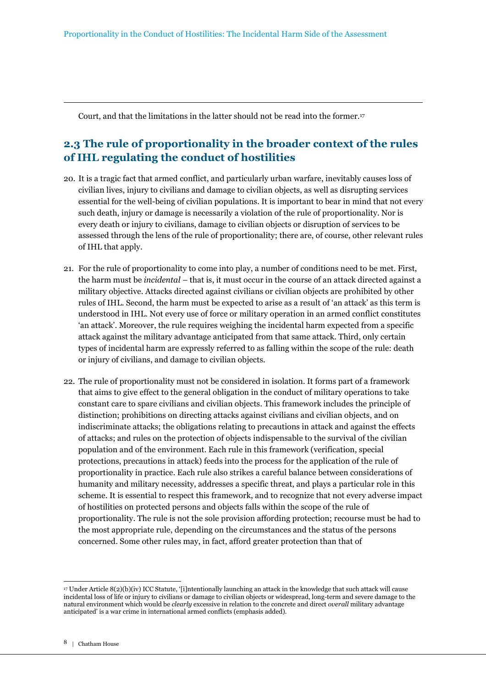Court, and that the limitations in the latter should not be read into the former.<sup>17</sup>

# **2.3 The rule of proportionality in the broader context of the rules of IHL regulating the conduct of hostilities**

- 20. It is a tragic fact that armed conflict, and particularly urban warfare, inevitably causes loss of civilian lives, injury to civilians and damage to civilian objects, as well as disrupting services essential for the well-being of civilian populations. It is important to bear in mind that not every such death, injury or damage is necessarily a violation of the rule of proportionality. Nor is every death or injury to civilians, damage to civilian objects or disruption of services to be assessed through the lens of the rule of proportionality; there are, of course, other relevant rules of IHL that apply.
- 21. For the rule of proportionality to come into play, a number of conditions need to be met. First, the harm must be *incidental –* that is, it must occur in the course of an attack directed against a military objective. Attacks directed against civilians or civilian objects are prohibited by other rules of IHL. Second, the harm must be expected to arise as a result of 'an attack' as this term is understood in IHL. Not every use of force or military operation in an armed conflict constitutes 'an attack'. Moreover, the rule requires weighing the incidental harm expected from a specific attack against the military advantage anticipated from that same attack. Third, only certain types of incidental harm are expressly referred to as falling within the scope of the rule: death or injury of civilians, and damage to civilian objects.
- 22. The rule of proportionality must not be considered in isolation. It forms part of a framework that aims to give effect to the general obligation in the conduct of military operations to take constant care to spare civilians and civilian objects. This framework includes the principle of distinction; prohibitions on directing attacks against civilians and civilian objects, and on indiscriminate attacks; the obligations relating to precautions in attack and against the effects of attacks; and rules on the protection of objects indispensable to the survival of the civilian population and of the environment. Each rule in this framework (verification, special protections, precautions in attack) feeds into the process for the application of the rule of proportionality in practice. Each rule also strikes a careful balance between considerations of humanity and military necessity, addresses a specific threat, and plays a particular role in this scheme. It is essential to respect this framework, and to recognize that not every adverse impact of hostilities on protected persons and objects falls within the scope of the rule of proportionality. The rule is not the sole provision affording protection; recourse must be had to the most appropriate rule, depending on the circumstances and the status of the persons concerned. Some other rules may, in fact, afford greater protection than that of

<sup>17</sup> Under Article 8(2)(b)(iv) ICC Statute, '[i]ntentionally launching an attack in the knowledge that such attack will cause incidental loss of life or injury to civilians or damage to civilian objects or widespread, long-term and severe damage to the natural environment which would be *clearly* excessive in relation to the concrete and direct *overall* military advantage anticipated' is a war crime in international armed conflicts (emphasis added).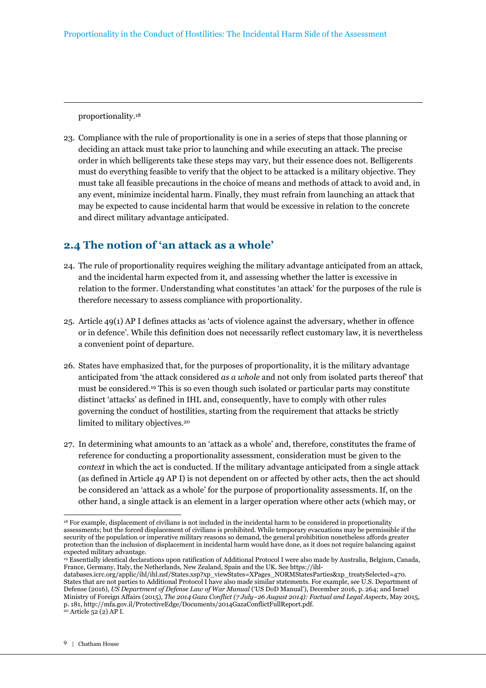proportionality.<sup>18</sup>

23. Compliance with the rule of proportionality is one in a series of steps that those planning or deciding an attack must take prior to launching and while executing an attack. The precise order in which belligerents take these steps may vary, but their essence does not. Belligerents must do everything feasible to verify that the object to be attacked is a military objective. They must take all feasible precautions in the choice of means and methods of attack to avoid and, in any event, minimize incidental harm. Finally, they must refrain from launching an attack that may be expected to cause incidental harm that would be excessive in relation to the concrete and direct military advantage anticipated.

# **2.4 The notion of 'an attack as a whole'**

- 24. The rule of proportionality requires weighing the military advantage anticipated from an attack, and the incidental harm expected from it, and assessing whether the latter is excessive in relation to the former. Understanding what constitutes 'an attack' for the purposes of the rule is therefore necessary to assess compliance with proportionality.
- 25. Article 49(1) AP I defines attacks as 'acts of violence against the adversary, whether in offence or in defence'. While this definition does not necessarily reflect customary law, it is nevertheless a convenient point of departure.
- 26. States have emphasized that, for the purposes of proportionality, it is the military advantage anticipated from 'the attack considered *as a whole* and not only from isolated parts thereof' that must be considered.19 This is so even though such isolated or particular parts may constitute distinct 'attacks' as defined in IHL and, consequently, have to comply with other rules governing the conduct of hostilities, starting from the requirement that attacks be strictly limited to military objectives.<sup>20</sup>
- 27. In determining what amounts to an 'attack as a whole' and, therefore, constitutes the frame of reference for conducting a proportionality assessment, consideration must be given to the *context* in which the act is conducted. If the military advantage anticipated from a single attack (as defined in Article 49 AP I) is not dependent on or affected by other acts, then the act should be considered an 'attack as a whole' for the purpose of proportionality assessments. If, on the other hand, a single attack is an element in a larger operation where other acts (which may, or

 $\overline{a}$ <sup>18</sup> For example, displacement of civilians is not included in the incidental harm to be considered in proportionality assessments; but the forced displacement of civilians is prohibited. While temporary evacuations may be permissible if the security of the population or imperative military reasons so demand, the general prohibition nonetheless affords greater protection than the inclusion of displacement in incidental harm would have done, as it does not require balancing against expected military advantage.

<sup>19</sup> Essentially identical declarations upon ratification of Additional Protocol I were also made by Australia, Belgium, Canada, France, Germany, Italy, the Netherlands, New Zealand, Spain and the UK. See https://ihl-

databases.icrc.org/applic/ihl/ihl.nsf/States.xsp?xp\_viewStates=XPages\_NORMStatesParties&xp\_treatySelected=470. States that are not parties to Additional Protocol I have also made similar statements. For example, see U.S. Department of Defense (2016), *US Department of Defense Law of War Manual* ('US DoD Manual'), December 2016, p. 264; and Israel Ministry of Foreign Affairs (2015), *The 2014 Gaza Conflict (7 July–26 August 2014): Factual and Legal Aspects*, May 2015, p. 181, http://mfa.gov.il/ProtectiveEdge/Documents/2014GazaConflictFullReport.pdf.  $20$  Article  $52(2)$  AP I.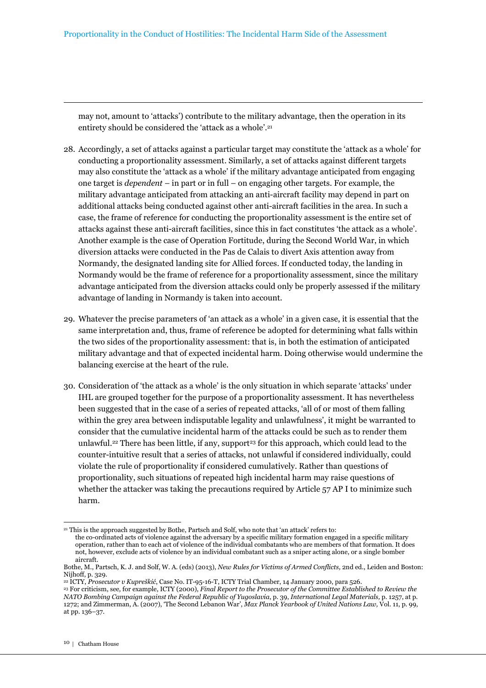may not, amount to 'attacks') contribute to the military advantage, then the operation in its entirety should be considered the 'attack as a whole'.<sup>21</sup>

- 28. Accordingly, a set of attacks against a particular target may constitute the 'attack as a whole' for conducting a proportionality assessment. Similarly, a set of attacks against different targets may also constitute the 'attack as a whole' if the military advantage anticipated from engaging one target is *dependent* – in part or in full – on engaging other targets. For example, the military advantage anticipated from attacking an anti-aircraft facility may depend in part on additional attacks being conducted against other anti-aircraft facilities in the area. In such a case, the frame of reference for conducting the proportionality assessment is the entire set of attacks against these anti-aircraft facilities, since this in fact constitutes 'the attack as a whole'. Another example is the case of Operation Fortitude, during the Second World War, in which diversion attacks were conducted in the Pas de Calais to divert Axis attention away from Normandy, the designated landing site for Allied forces. If conducted today, the landing in Normandy would be the frame of reference for a proportionality assessment, since the military advantage anticipated from the diversion attacks could only be properly assessed if the military advantage of landing in Normandy is taken into account.
- 29. Whatever the precise parameters of 'an attack as a whole' in a given case, it is essential that the same interpretation and, thus, frame of reference be adopted for determining what falls within the two sides of the proportionality assessment: that is, in both the estimation of anticipated military advantage and that of expected incidental harm. Doing otherwise would undermine the balancing exercise at the heart of the rule.
- 30. Consideration of 'the attack as a whole' is the only situation in which separate 'attacks' under IHL are grouped together for the purpose of a proportionality assessment. It has nevertheless been suggested that in the case of a series of repeated attacks, 'all of or most of them falling within the grey area between indisputable legality and unlawfulness', it might be warranted to consider that the cumulative incidental harm of the attacks could be such as to render them unlawful.<sup>22</sup> There has been little, if any, support<sup>23</sup> for this approach, which could lead to the counter-intuitive result that a series of attacks, not unlawful if considered individually, could violate the rule of proportionality if considered cumulatively. Rather than questions of proportionality, such situations of repeated high incidental harm may raise questions of whether the attacker was taking the precautions required by Article 57 AP I to minimize such harm.

<sup>21</sup> This is the approach suggested by Bothe, Partsch and Solf, who note that 'an attack' refers to:

the co-ordinated acts of violence against the adversary by a specific military formation engaged in a specific military operation, rather than to each act of violence of the individual combatants who are members of that formation. It does not, however, exclude acts of violence by an individual combatant such as a sniper acting alone, or a single bomber aircraft.

Bothe, M., Partsch, K. J. and Solf, W. A. (eds) (2013), *New Rules for Victims of Armed Conflicts,* 2nd ed., Leiden and Boston: Nijhoff, p. 329.

<sup>22</sup> ICTY, *Prosecutor v Kupreškić*, Case No. IT-95-16-T, ICTY Trial Chamber, 14 January 2000, para 526.

<sup>23</sup> For criticism, see*,* for example, ICTY (2000), *Final Report to the Prosecutor of the Committee Established to Review the NATO Bombing Campaign against the Federal Republic of Yugoslavia*, p. 39, *International Legal Materials,* p. 1257, at p. 1272; and Zimmerman, A. (2007), 'The Second Lebanon War', *Max Planck Yearbook of United Nations Law,* Vol. 11, p. 99, at pp. 136–37.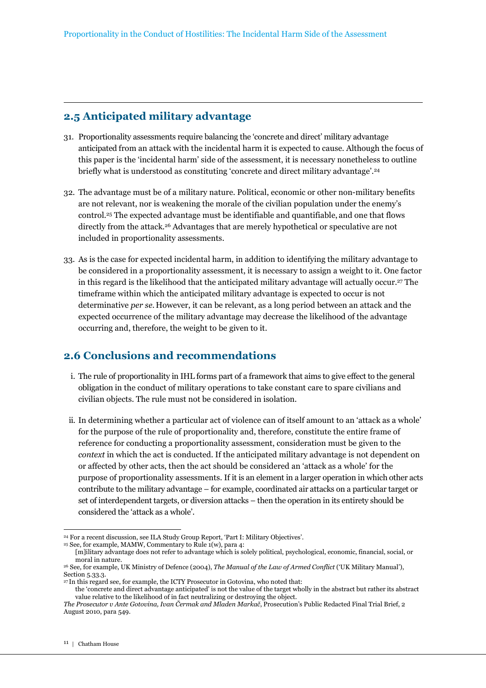## **2.5 Anticipated military advantage**

- 31. Proportionality assessments require balancing the 'concrete and direct' military advantage anticipated from an attack with the incidental harm it is expected to cause. Although the focus of this paper is the 'incidental harm' side of the assessment, it is necessary nonetheless to outline briefly what is understood as constituting 'concrete and direct military advantage'.<sup>24</sup>
- 32. The advantage must be of a military nature. Political, economic or other non-military benefits are not relevant, nor is weakening the morale of the civilian population under the enemy's control.25 The expected advantage must be identifiable and quantifiable, and one that flows directly from the attack.26 Advantages that are merely hypothetical or speculative are not included in proportionality assessments.
- 33. As is the case for expected incidental harm, in addition to identifying the military advantage to be considered in a proportionality assessment, it is necessary to assign a weight to it. One factor in this regard is the likelihood that the anticipated military advantage will actually occur.27 The timeframe within which the anticipated military advantage is expected to occur is not determinative *per se*. However, it can be relevant, as a long period between an attack and the expected occurrence of the military advantage may decrease the likelihood of the advantage occurring and, therefore, the weight to be given to it.

# **2.6 Conclusions and recommendations**

- i. The rule of proportionality in IHL forms part of a framework that aims to give effect to the general obligation in the conduct of military operations to take constant care to spare civilians and civilian objects. The rule must not be considered in isolation.
- ii. In determining whether a particular act of violence can of itself amount to an 'attack as a whole' for the purpose of the rule of proportionality and, therefore, constitute the entire frame of reference for conducting a proportionality assessment, consideration must be given to the *context* in which the act is conducted. If the anticipated military advantage is not dependent on or affected by other acts, then the act should be considered an 'attack as a whole' for the purpose of proportionality assessments. If it is an element in a larger operation in which other acts contribute to the military advantage – for example, coordinated air attacks on a particular target or set of interdependent targets, or diversion attacks – then the operation in its entirety should be considered the 'attack as a whole'.

<sup>25</sup> See, for example, MAMW, Commentary to Rule 1(w), para 4:

 $\overline{a}$ <sup>24</sup> For a recent discussion, see ILA Study Group Report, 'Part I: Military Objectives'.

<sup>[</sup>m]ilitary advantage does not refer to advantage which is solely political, psychological, economic, financial, social, or moral in nature.

<sup>26</sup> See, for example, UK Ministry of Defence (2004), *The Manual of the Law of Armed Conflict* ('UK Military Manual'), Section 5.33.3.

<sup>27</sup>In this regard see, for example, the ICTY Prosecutor in Gotovina, who noted that:

the 'concrete and direct advantage anticipated' is not the value of the target wholly in the abstract but rather its abstract value relative to the likelihood of in fact neutralizing or destroying the object.

*The Prosecutor v Ante Gotovina, Ivan Čermak and Mladen Markač*, Prosecution's Public Redacted Final Trial Brief, 2 August 2010, para 549.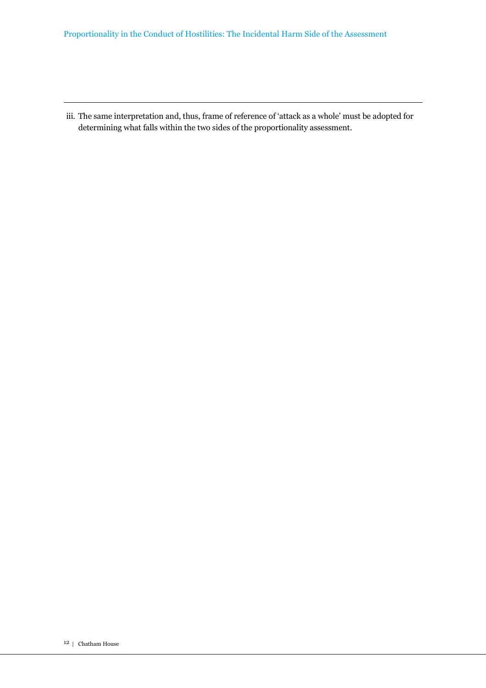#### Proportionality in the Conduct of Hostilities: The Incidental Harm Side of the Assessment

iii. The same interpretation and, thus, frame of reference of 'attack as a whole' must be adopted for determining what falls within the two sides of the proportionality assessment.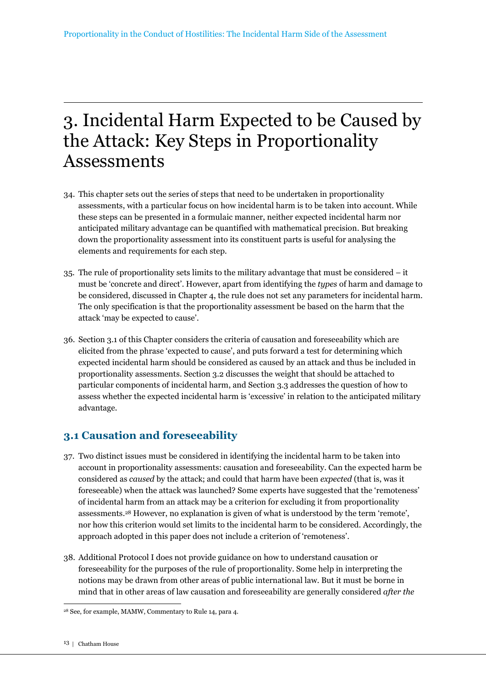# 3. Incidental Harm Expected to be Caused by the Attack: Key Steps in Proportionality Assessments

- 34. This chapter sets out the series of steps that need to be undertaken in proportionality assessments, with a particular focus on how incidental harm is to be taken into account. While these steps can be presented in a formulaic manner, neither expected incidental harm nor anticipated military advantage can be quantified with mathematical precision. But breaking down the proportionality assessment into its constituent parts is useful for analysing the elements and requirements for each step.
- 35. The rule of proportionality sets limits to the military advantage that must be considered it must be 'concrete and direct'. However, apart from identifying the *types* of harm and damage to be considered, discussed in Chapter 4, the rule does not set any parameters for incidental harm. The only specification is that the proportionality assessment be based on the harm that the attack 'may be expected to cause'.
- 36. Section 3.1 of this Chapter considers the criteria of causation and foreseeability which are elicited from the phrase 'expected to cause', and puts forward a test for determining which expected incidental harm should be considered as caused by an attack and thus be included in proportionality assessments. Section 3.2 discusses the weight that should be attached to particular components of incidental harm, and Section 3.3 addresses the question of how to assess whether the expected incidental harm is 'excessive' in relation to the anticipated military advantage.

# **3.1 Causation and foreseeability**

- 37. Two distinct issues must be considered in identifying the incidental harm to be taken into account in proportionality assessments: causation and foreseeability. Can the expected harm be considered as *caused* by the attack; and could that harm have been *expected* (that is, was it foreseeable) when the attack was launched? Some experts have suggested that the 'remoteness' of incidental harm from an attack may be a criterion for excluding it from proportionality assessments.28 However, no explanation is given of what is understood by the term 'remote', nor how this criterion would set limits to the incidental harm to be considered. Accordingly, the approach adopted in this paper does not include a criterion of 'remoteness'.
- 38. Additional Protocol I does not provide guidance on how to understand causation or foreseeability for the purposes of the rule of proportionality. Some help in interpreting the notions may be drawn from other areas of public international law. But it must be borne in mind that in other areas of law causation and foreseeability are generally considered *after the*

 $\overline{a}$ 28 See, for example, MAMW, Commentary to Rule 14, para 4.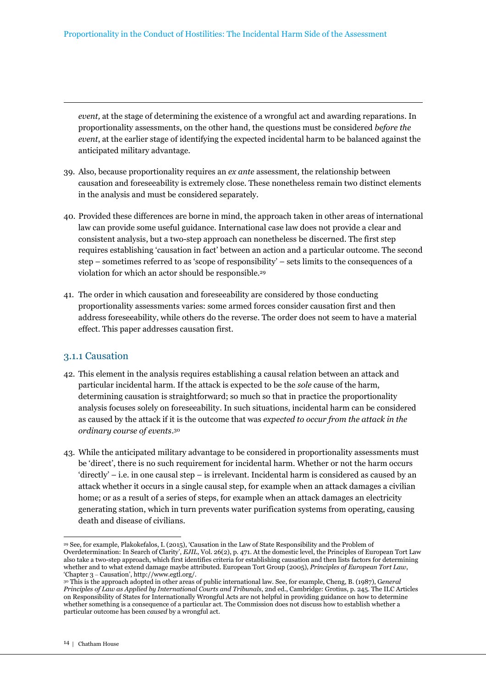*event,* at the stage of determining the existence of a wrongful act and awarding reparations. In proportionality assessments, on the other hand, the questions must be considered *before the event*, at the earlier stage of identifying the expected incidental harm to be balanced against the anticipated military advantage.

- 39. Also, because proportionality requires an *ex ante* assessment*,* the relationship between causation and foreseeability is extremely close. These nonetheless remain two distinct elements in the analysis and must be considered separately.
- 40. Provided these differences are borne in mind, the approach taken in other areas of international law can provide some useful guidance. International case law does not provide a clear and consistent analysis, but a two-step approach can nonetheless be discerned. The first step requires establishing 'causation in fact' between an action and a particular outcome. The second step – sometimes referred to as 'scope of responsibility' – sets limits to the consequences of a violation for which an actor should be responsible.<sup>29</sup>
- 41. The order in which causation and foreseeability are considered by those conducting proportionality assessments varies: some armed forces consider causation first and then address foreseeability, while others do the reverse. The order does not seem to have a material effect. This paper addresses causation first.

#### 3.1.1 Causation

- 42. This element in the analysis requires establishing a causal relation between an attack and particular incidental harm. If the attack is expected to be the *sole* cause of the harm, determining causation is straightforward; so much so that in practice the proportionality analysis focuses solely on foreseeability. In such situations, incidental harm can be considered as caused by the attack if it is the outcome that was *expected to occur from the attack in the ordinary course of events*. 30
- 43. While the anticipated military advantage to be considered in proportionality assessments must be 'direct', there is no such requirement for incidental harm. Whether or not the harm occurs 'directly' – i.e. in one causal step – is irrelevant. Incidental harm is considered as caused by an attack whether it occurs in a single causal step, for example when an attack damages a civilian home; or as a result of a series of steps, for example when an attack damages an electricity generating station, which in turn prevents water purification systems from operating, causing death and disease of civilians.

 $\overline{a}$ <sup>29</sup> See, for example, Plakokefalos, I. (2015), 'Causation in the Law of State Responsibility and the Problem of Overdetermination: In Search of Clarity', *EJIL,* Vol. 26(2), p. 471. At the domestic level, the Principles of European Tort Law also take a two-step approach, which first identifies criteria for establishing causation and then lists factors for determining whether and to what extend damage maybe attributed. European Tort Group (2005), *Principles of European Tort Law*, 'Chapter 3 – Causation', http://www.egtl.org/.

<sup>30</sup> This is the approach adopted in other areas of public international law. See, for example, Cheng, B. (1987), G*eneral Principles of Law as Applied by International Courts and Tribunals*, 2nd ed., Cambridge: Grotius, p. 245. The ILC Articles on Responsibility of States for Internationally Wrongful Acts are not helpful in providing guidance on how to determine whether something is a consequence of a particular act. The Commission does not discuss how to establish whether a particular outcome has been *caused* by a wrongful act.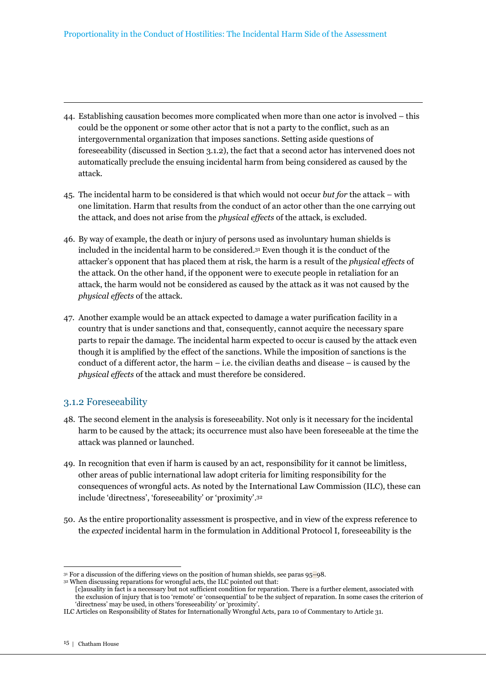- 44. Establishing causation becomes more complicated when more than one actor is involved this could be the opponent or some other actor that is not a party to the conflict, such as an intergovernmental organization that imposes sanctions. Setting aside questions of foreseeability (discussed in Section 3.1.2), the fact that a second actor has intervened does not automatically preclude the ensuing incidental harm from being considered as caused by the attack.
- 45. The incidental harm to be considered is that which would not occur *but for* the attack with one limitation. Harm that results from the conduct of an actor other than the one carrying out the attack, and does not arise from the *physical effects* of the attack, is excluded.
- 46. By way of example, the death or injury of persons used as involuntary human shields is included in the incidental harm to be considered.31 Even though it is the conduct of the attacker's opponent that has placed them at risk, the harm is a result of the *physical effects* of the attack. On the other hand, if the opponent were to execute people in retaliation for an attack, the harm would not be considered as caused by the attack as it was not caused by the *physical effects* of the attack.
- 47. Another example would be an attack expected to damage a water purification facility in a country that is under sanctions and that, consequently, cannot acquire the necessary spare parts to repair the damage. The incidental harm expected to occur is caused by the attack even though it is amplified by the effect of the sanctions. While the imposition of sanctions is the conduct of a different actor, the harm – i.e. the civilian deaths and disease – is caused by the *physical effects* of the attack and must therefore be considered.

#### 3.1.2 Foreseeability

- 48. The second element in the analysis is foreseeability. Not only is it necessary for the incidental harm to be caused by the attack; its occurrence must also have been foreseeable at the time the attack was planned or launched.
- 49. In recognition that even if harm is caused by an act, responsibility for it cannot be limitless, other areas of public international law adopt criteria for limiting responsibility for the consequences of wrongful acts. As noted by the International Law Commission (ILC), these can include 'directness', 'foreseeability' or 'proximity'.<sup>32</sup>
- 50. As the entire proportionality assessment is prospective, and in view of the express reference to the *expected* incidental harm in the formulation in Additional Protocol I, foreseeability is the

<sup>31</sup> For a discussion of the differing views on the position of human shields, see paras 95–98.

<sup>32</sup> When discussing reparations for wrongful acts, the ILC pointed out that:

<sup>[</sup>c]ausality in fact is a necessary but not sufficient condition for reparation. There is a further element, associated with the exclusion of injury that is too 'remote' or 'consequential' to be the subject of reparation. In some cases the criterion of 'directness' may be used, in others 'foreseeability' or 'proximity'.

ILC Articles on Responsibility of States for Internationally Wrongful Acts, para 10 of Commentary to Article 31.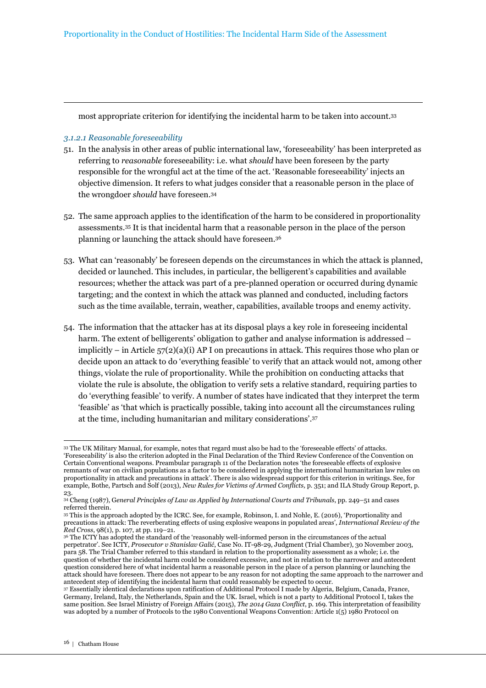most appropriate criterion for identifying the incidental harm to be taken into account.<sup>33</sup>

#### *3.1.2.1 Reasonable foreseeability*

- 51. In the analysis in other areas of public international law, 'foreseeability' has been interpreted as referring to *reasonable* foreseeability: i.e. what *should* have been foreseen by the party responsible for the wrongful act at the time of the act. 'Reasonable foreseeability' injects an objective dimension. It refers to what judges consider that a reasonable person in the place of the wrongdoer *should* have foreseen.<sup>34</sup>
- 52. The same approach applies to the identification of the harm to be considered in proportionality assessments.35 It is that incidental harm that a reasonable person in the place of the person planning or launching the attack should have foreseen.<sup>36</sup>
- 53. What can 'reasonably' be foreseen depends on the circumstances in which the attack is planned, decided or launched. This includes, in particular, the belligerent's capabilities and available resources; whether the attack was part of a pre-planned operation or occurred during dynamic targeting; and the context in which the attack was planned and conducted, including factors such as the time available, terrain, weather, capabilities, available troops and enemy activity.
- 54. The information that the attacker has at its disposal plays a key role in foreseeing incidental harm. The extent of belligerents' obligation to gather and analyse information is addressed – implicitly – in Article  $57(2)(a)(i)$  AP I on precautions in attack. This requires those who plan or decide upon an attack to do 'everything feasible' to verify that an attack would not, among other things, violate the rule of proportionality. While the prohibition on conducting attacks that violate the rule is absolute, the obligation to verify sets a relative standard, requiring parties to do 'everything feasible' to verify. A number of states have indicated that they interpret the term 'feasible' as 'that which is practically possible, taking into account all the circumstances ruling at the time, including humanitarian and military considerations'.<sup>37</sup>

<sup>33</sup> The UK Military Manual, for example, notes that regard must also be had to the 'foreseeable effects' of attacks. 'Foreseeability' is also the criterion adopted in the Final Declaration of the Third Review Conference of the Convention on Certain Conventional weapons. Preambular paragraph 11 of the Declaration notes 'the foreseeable effects of explosive remnants of war on civilian populations as a factor to be considered in applying the international humanitarian law rules on proportionality in attack and precautions in attack'. There is also widespread support for this criterion in writings. See, for example, Bothe, Partsch and Solf (2013), *New Rules for Victims of Armed Conflicts,* p. 351; and ILA Study Group Report, p. 23.

<sup>34</sup> Cheng (1987), G*eneral Principles of Law as Applied by International Courts and Tribunals*, pp. 249–51 and cases referred therein.

<sup>35</sup> This is the approach adopted by the ICRC. See, for example, Robinson, I. and Nohle, E. (2016), 'Proportionality and precautions in attack: The reverberating effects of using explosive weapons in populated areas', *International Review of the Red Cross*, 98(1), p. 107, at pp. 119–21.

<sup>&</sup>lt;sup>36</sup> The ICTY has adopted the standard of the 'reasonably well-informed person in the circumstances of the actual perpetrator'. See ICTY, *Prosecutor v Stanislav Galić*, Case No. IT-98-29, Judgment (Trial Chamber), 30 November 2003, para 58. The Trial Chamber referred to this standard in relation to the proportionality assessment as a whole; i.e. the question of whether the incidental harm could be considered excessive, and not in relation to the narrower and antecedent question considered here of what incidental harm a reasonable person in the place of a person planning or launching the attack should have foreseen. There does not appear to be any reason for not adopting the same approach to the narrower and antecedent step of identifying the incidental harm that could reasonably be expected to occur.

<sup>37</sup> Essentially identical declarations upon ratification of Additional Protocol I made by Algeria, Belgium, Canada, France, Germany, Ireland, Italy, the Netherlands, Spain and the UK. Israel, which is not a party to Additional Protocol I, takes the same position. See Israel Ministry of Foreign Affairs (2015), *The 2014 Gaza Conflict*, p. 169. This interpretation of feasibility was adopted by a number of Protocols to the 1980 Conventional Weapons Convention: Article 1(5) 1980 Protocol on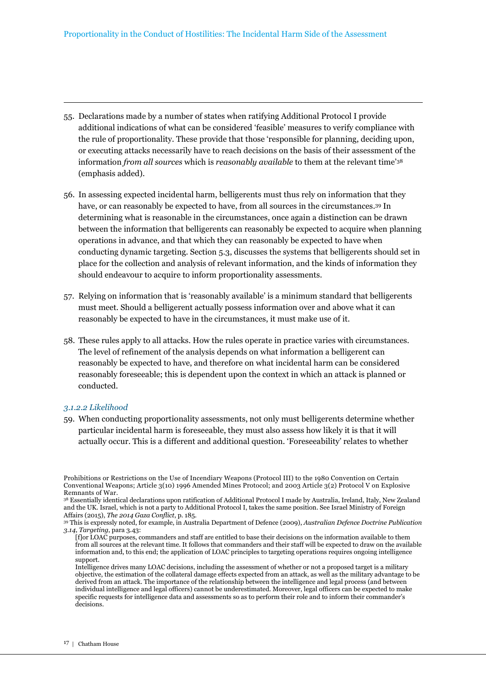- 55. Declarations made by a number of states when ratifying Additional Protocol I provide additional indications of what can be considered 'feasible' measures to verify compliance with the rule of proportionality. These provide that those 'responsible for planning, deciding upon, or executing attacks necessarily have to reach decisions on the basis of their assessment of the information *from all sources* which is *reasonably available* to them at the relevant time'<sup>38</sup> (emphasis added).
- 56. In assessing expected incidental harm, belligerents must thus rely on information that they have, or can reasonably be expected to have, from all sources in the circumstances.39 In determining what is reasonable in the circumstances, once again a distinction can be drawn between the information that belligerents can reasonably be expected to acquire when planning operations in advance, and that which they can reasonably be expected to have when conducting dynamic targeting. Section 5.3, discusses the systems that belligerents should set in place for the collection and analysis of relevant information, and the kinds of information they should endeavour to acquire to inform proportionality assessments.
- 57. Relying on information that is 'reasonably available' is a minimum standard that belligerents must meet. Should a belligerent actually possess information over and above what it can reasonably be expected to have in the circumstances, it must make use of it.
- 58. These rules apply to all attacks. How the rules operate in practice varies with circumstances. The level of refinement of the analysis depends on what information a belligerent can reasonably be expected to have, and therefore on what incidental harm can be considered reasonably foreseeable; this is dependent upon the context in which an attack is planned or conducted.

#### *3.1.2.2 Likelihood*

59. When conducting proportionality assessments, not only must belligerents determine whether particular incidental harm is foreseeable, they must also assess how likely it is that it will actually occur. This is a different and additional question. 'Foreseeability' relates to whether

Prohibitions or Restrictions on the Use of Incendiary Weapons (Protocol III) to the 1980 Convention on Certain Conventional Weapons; Article 3(10) 1996 Amended Mines Protocol; and 2003 Article 3(2) Protocol V on Explosive Remnants of War.

<sup>38</sup> Essentially identical declarations upon ratification of Additional Protocol I made by Australia, Ireland, Italy, New Zealand and the UK. Israel, which is not a party to Additional Protocol I, takes the same position. See Israel Ministry of Foreign Affairs (2015), *The 2014 Gaza Conflict*, p. 185.

<sup>39</sup> This is expressly noted, for example, in Australia Department of Defence (2009), *Australian Defence Doctrine Publication 3.14, Targeting*, para 3.43:

<sup>[</sup>f]or LOAC purposes, commanders and staff are entitled to base their decisions on the information available to them from all sources at the relevant time. It follows that commanders and their staff will be expected to draw on the available information and, to this end; the application of LOAC principles to targeting operations requires ongoing intelligence support.

Intelligence drives many LOAC decisions, including the assessment of whether or not a proposed target is a military objective, the estimation of the collateral damage effects expected from an attack, as well as the military advantage to be derived from an attack. The importance of the relationship between the intelligence and legal process (and between individual intelligence and legal officers) cannot be underestimated. Moreover, legal officers can be expected to make specific requests for intelligence data and assessments so as to perform their role and to inform their commander's decisions.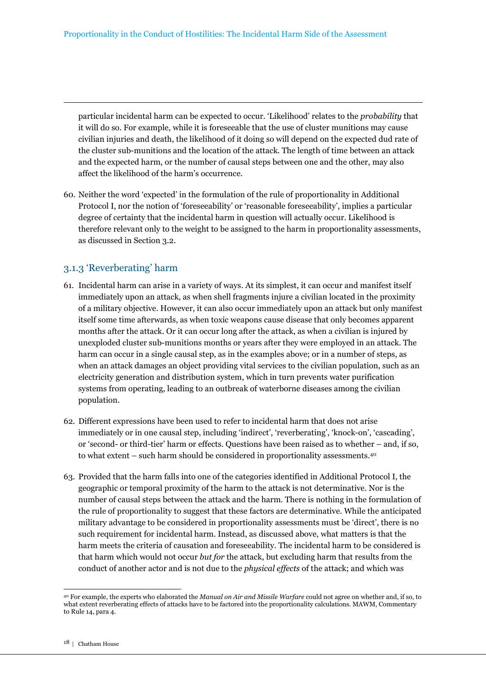particular incidental harm can be expected to occur. 'Likelihood' relates to the *probability* that it will do so. For example, while it is foreseeable that the use of cluster munitions may cause civilian injuries and death, the likelihood of it doing so will depend on the expected dud rate of the cluster sub-munitions and the location of the attack. The length of time between an attack and the expected harm, or the number of causal steps between one and the other, may also affect the likelihood of the harm's occurrence.

60. Neither the word 'expected' in the formulation of the rule of proportionality in Additional Protocol I, nor the notion of 'foreseeability' or 'reasonable foreseeability', implies a particular degree of certainty that the incidental harm in question will actually occur. Likelihood is therefore relevant only to the weight to be assigned to the harm in proportionality assessments, as discussed in Section 3.2.

### 3.1.3 'Reverberating' harm

- 61. Incidental harm can arise in a variety of ways. At its simplest, it can occur and manifest itself immediately upon an attack, as when shell fragments injure a civilian located in the proximity of a military objective. However, it can also occur immediately upon an attack but only manifest itself some time afterwards, as when toxic weapons cause disease that only becomes apparent months after the attack. Or it can occur long after the attack, as when a civilian is injured by unexploded cluster sub-munitions months or years after they were employed in an attack. The harm can occur in a single causal step, as in the examples above; or in a number of steps, as when an attack damages an object providing vital services to the civilian population, such as an electricity generation and distribution system, which in turn prevents water purification systems from operating, leading to an outbreak of waterborne diseases among the civilian population.
- 62. Different expressions have been used to refer to incidental harm that does not arise immediately or in one causal step, including 'indirect', 'reverberating', 'knock-on', 'cascading', or 'second- or third-tier' harm or effects. Questions have been raised as to whether – and, if so, to what extent – such harm should be considered in proportionality assessments.<sup>40</sup>
- 63. Provided that the harm falls into one of the categories identified in Additional Protocol I, the geographic or temporal proximity of the harm to the attack is not determinative. Nor is the number of causal steps between the attack and the harm. There is nothing in the formulation of the rule of proportionality to suggest that these factors are determinative. While the anticipated military advantage to be considered in proportionality assessments must be 'direct', there is no such requirement for incidental harm. Instead, as discussed above, what matters is that the harm meets the criteria of causation and foreseeability. The incidental harm to be considered is that harm which would not occur *but for* the attack, but excluding harm that results from the conduct of another actor and is not due to the *physical effects* of the attack; and which was

<sup>40</sup> For example, the experts who elaborated the *Manual on Air and Missile Warfare* could not agree on whether and, if so, to what extent reverberating effects of attacks have to be factored into the proportionality calculations. MAWM, Commentary to Rule 14, para 4.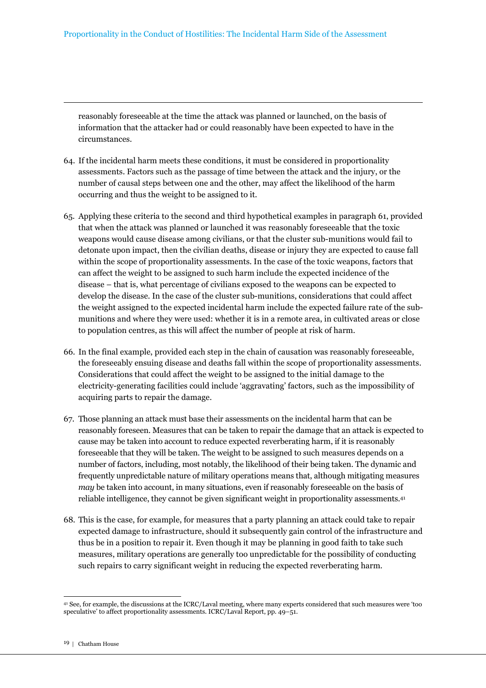reasonably foreseeable at the time the attack was planned or launched, on the basis of information that the attacker had or could reasonably have been expected to have in the circumstances.

- 64. If the incidental harm meets these conditions, it must be considered in proportionality assessments. Factors such as the passage of time between the attack and the injury, or the number of causal steps between one and the other, may affect the likelihood of the harm occurring and thus the weight to be assigned to it.
- 65. Applying these criteria to the second and third hypothetical examples in paragraph 61, provided that when the attack was planned or launched it was reasonably foreseeable that the toxic weapons would cause disease among civilians, or that the cluster sub-munitions would fail to detonate upon impact, then the civilian deaths, disease or injury they are expected to cause fall within the scope of proportionality assessments. In the case of the toxic weapons, factors that can affect the weight to be assigned to such harm include the expected incidence of the disease – that is, what percentage of civilians exposed to the weapons can be expected to develop the disease. In the case of the cluster sub-munitions, considerations that could affect the weight assigned to the expected incidental harm include the expected failure rate of the submunitions and where they were used: whether it is in a remote area, in cultivated areas or close to population centres, as this will affect the number of people at risk of harm.
- 66. In the final example, provided each step in the chain of causation was reasonably foreseeable, the foreseeably ensuing disease and deaths fall within the scope of proportionality assessments. Considerations that could affect the weight to be assigned to the initial damage to the electricity-generating facilities could include 'aggravating' factors, such as the impossibility of acquiring parts to repair the damage.
- 67. Those planning an attack must base their assessments on the incidental harm that can be reasonably foreseen. Measures that can be taken to repair the damage that an attack is expected to cause may be taken into account to reduce expected reverberating harm, if it is reasonably foreseeable that they will be taken. The weight to be assigned to such measures depends on a number of factors, including, most notably, the likelihood of their being taken. The dynamic and frequently unpredictable nature of military operations means that, although mitigating measures *may* be taken into account, in many situations, even if reasonably foreseeable on the basis of reliable intelligence, they cannot be given significant weight in proportionality assessments.<sup>41</sup>
- 68. This is the case, for example, for measures that a party planning an attack could take to repair expected damage to infrastructure, should it subsequently gain control of the infrastructure and thus be in a position to repair it. Even though it may be planning in good faith to take such measures, military operations are generally too unpredictable for the possibility of conducting such repairs to carry significant weight in reducing the expected reverberating harm.

<sup>41</sup> See, for example, the discussions at the ICRC/Laval meeting, where many experts considered that such measures were 'too speculative' to affect proportionality assessments. ICRC/Laval Report, pp. 49–51.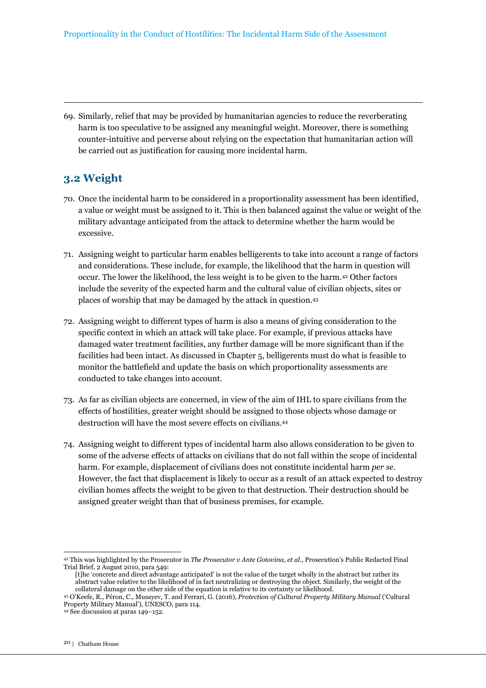69. Similarly, relief that may be provided by humanitarian agencies to reduce the reverberating harm is too speculative to be assigned any meaningful weight. Moreover, there is something counter-intuitive and perverse about relying on the expectation that humanitarian action will be carried out as justification for causing more incidental harm.

# **3.2 Weight**

- 70. Once the incidental harm to be considered in a proportionality assessment has been identified, a value or weight must be assigned to it. This is then balanced against the value or weight of the military advantage anticipated from the attack to determine whether the harm would be excessive.
- 71. Assigning weight to particular harm enables belligerents to take into account a range of factors and considerations. These include, for example, the likelihood that the harm in question will occur. The lower the likelihood, the less weight is to be given to the harm.42 Other factors include the severity of the expected harm and the cultural value of civilian objects, sites or places of worship that may be damaged by the attack in question.<sup>43</sup>
- 72. Assigning weight to different types of harm is also a means of giving consideration to the specific context in which an attack will take place. For example, if previous attacks have damaged water treatment facilities, any further damage will be more significant than if the facilities had been intact. As discussed in Chapter 5, belligerents must do what is feasible to monitor the battlefield and update the basis on which proportionality assessments are conducted to take changes into account.
- 73. As far as civilian objects are concerned, in view of the aim of IHL to spare civilians from the effects of hostilities, greater weight should be assigned to those objects whose damage or destruction will have the most severe effects on civilians.<sup>44</sup>
- 74. Assigning weight to different types of incidental harm also allows consideration to be given to some of the adverse effects of attacks on civilians that do not fall within the scope of incidental harm. For example, displacement of civilians does not constitute incidental harm *per se*. However, the fact that displacement is likely to occur as a result of an attack expected to destroy civilian homes affects the weight to be given to that destruction. Their destruction should be assigned greater weight than that of business premises, for example.

<sup>42</sup> This was highlighted by the Prosecutor in *The Prosecutor v Ante Gotovina, et al.*, Prosecution's Public Redacted Final Trial Brief, 2 August 2010, para 549:

<sup>[</sup>t]he 'concrete and direct advantage anticipated' is not the value of the target wholly in the abstract but rather its abstract value relative to the likelihood of in fact neutralizing or destroying the object. Similarly, the weight of the collateral damage on the other side of the equation is relative to its certainty or likelihood.

<sup>43</sup> O'Keefe, R., Péron, C., Musayev, T. and Ferrari, G. (2016), *Protection of Cultural Property Military Manual* ('Cultural Property Military Manual'), UNESCO, para 114.

<sup>44</sup> See discussion at paras 149–152.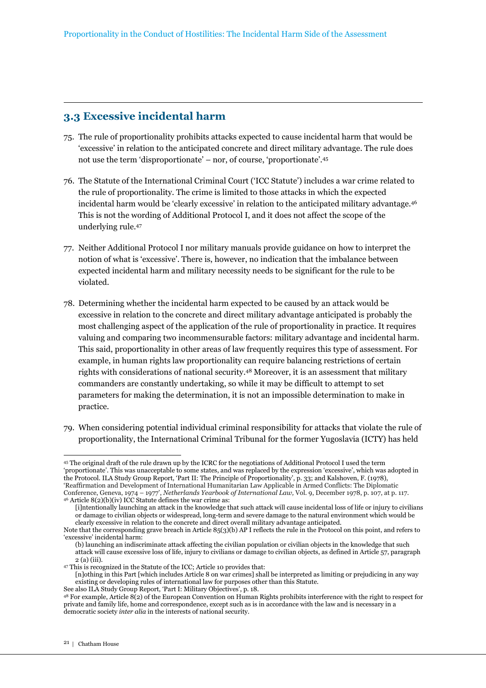# **3.3 Excessive incidental harm**

- 75. The rule of proportionality prohibits attacks expected to cause incidental harm that would be 'excessive' in relation to the anticipated concrete and direct military advantage. The rule does not use the term 'disproportionate' – nor, of course, 'proportionate'.<sup>45</sup>
- 76. The Statute of the International Criminal Court ('ICC Statute') includes a war crime related to the rule of proportionality. The crime is limited to those attacks in which the expected incidental harm would be 'clearly excessive' in relation to the anticipated military advantage.<sup>46</sup> This is not the wording of Additional Protocol I, and it does not affect the scope of the underlying rule.<sup>47</sup>
- 77. Neither Additional Protocol I nor military manuals provide guidance on how to interpret the notion of what is 'excessive'. There is, however, no indication that the imbalance between expected incidental harm and military necessity needs to be significant for the rule to be violated.
- 78. Determining whether the incidental harm expected to be caused by an attack would be excessive in relation to the concrete and direct military advantage anticipated is probably the most challenging aspect of the application of the rule of proportionality in practice. It requires valuing and comparing two incommensurable factors: military advantage and incidental harm. This said, proportionality in other areas of law frequently requires this type of assessment. For example, in human rights law proportionality can require balancing restrictions of certain rights with considerations of national security.48 Moreover, it is an assessment that military commanders are constantly undertaking, so while it may be difficult to attempt to set parameters for making the determination, it is not an impossible determination to make in practice.
- 79. When considering potential individual criminal responsibility for attacks that violate the rule of proportionality, the International Criminal Tribunal for the former Yugoslavia (ICTY) has held

<sup>45</sup> The original draft of the rule drawn up by the ICRC for the negotiations of Additional Protocol I used the term 'proportionate'. This was unacceptable to some states, and was replaced by the expression 'excessive', which was adopted in the Protocol. ILA Study Group Report, 'Part II: The Principle of Proportionality', p. 33; and Kalshoven, F. (1978), 'Reaffirmation and Development of International Humanitarian Law Applicable in Armed Conflicts: The Diplomatic Conference, Geneva, 1974 – 1977', *Netherlands Yearbook of International Law,* Vol. 9, December 1978, p. 107, at p. 117.  $46$  Article  $8(2)(b)(iv)$  ICC Statute defines the war crime as:

<sup>[</sup>i]ntentionally launching an attack in the knowledge that such attack will cause incidental loss of life or injury to civilians or damage to civilian objects or widespread, long-term and severe damage to the natural environment which would be clearly excessive in relation to the concrete and direct overall military advantage anticipated.

Note that the corresponding grave breach in Article 85(3)(b) AP I reflects the rule in the Protocol on this point, and refers to 'excessive' incidental harm:

<sup>(</sup>b) launching an indiscriminate attack affecting the civilian population or civilian objects in the knowledge that such attack will cause excessive loss of life, injury to civilians or damage to civilian objects, as defined in Article 57, paragraph 2 (a) (iii).

<sup>47</sup> This is recognized in the Statute of the ICC; Article 10 provides that:

<sup>[</sup>n]othing in this Part [which includes Article 8 on war crimes] shall be interpreted as limiting or prejudicing in any way existing or developing rules of international law for purposes other than this Statute.

See also ILA Study Group Report, 'Part I: Military Objectives', p. 18.

<sup>48</sup> For example, Article 8(2) of the European Convention on Human Rights prohibits interference with the right to respect for private and family life, home and correspondence, except such as is in accordance with the law and is necessary in a democratic society *inter alia* in the interests of national security.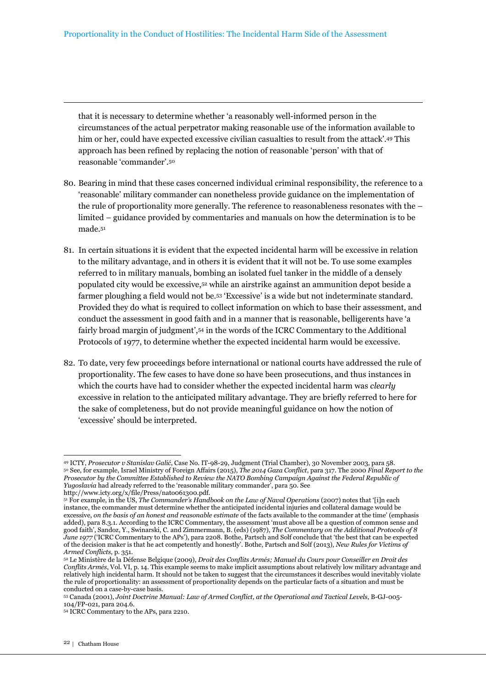that it is necessary to determine whether 'a reasonably well-informed person in the circumstances of the actual perpetrator making reasonable use of the information available to him or her, could have expected excessive civilian casualties to result from the attack'.49 This approach has been refined by replacing the notion of reasonable 'person' with that of reasonable 'commander'.<sup>50</sup>

- 80. Bearing in mind that these cases concerned individual criminal responsibility, the reference to a 'reasonable' military commander can nonetheless provide guidance on the implementation of the rule of proportionality more generally. The reference to reasonableness resonates with the – limited – guidance provided by commentaries and manuals on how the determination is to be made.<sup>51</sup>
- 81. In certain situations it is evident that the expected incidental harm will be excessive in relation to the military advantage, and in others it is evident that it will not be. To use some examples referred to in military manuals, bombing an isolated fuel tanker in the middle of a densely populated city would be excessive,52 while an airstrike against an ammunition depot beside a farmer ploughing a field would not be.53 'Excessive' is a wide but not indeterminate standard. Provided they do what is required to collect information on which to base their assessment, and conduct the assessment in good faith and in a manner that is reasonable, belligerents have 'a fairly broad margin of judgment',54 in the words of the ICRC Commentary to the Additional Protocols of 1977, to determine whether the expected incidental harm would be excessive.
- 82. To date, very few proceedings before international or national courts have addressed the rule of proportionality. The few cases to have done so have been prosecutions, and thus instances in which the courts have had to consider whether the expected incidental harm was *clearly* excessive in relation to the anticipated military advantage. They are briefly referred to here for the sake of completeness, but do not provide meaningful guidance on how the notion of 'excessive' should be interpreted.

<sup>49</sup> ICTY, *Prosecutor v Stanislav Galić*, Case No. IT-98-29, Judgment (Trial Chamber), 30 November 2003, para 58. <sup>50</sup> See, for example, Israel Ministry of Foreign Affairs (2015), *The 2014 Gaza Conflict*, para 317. The 2000 *Final Report to the Prosecutor by the Committee Established to Review the NATO Bombing Campaign Against the Federal Republic of Yugoslavia* had already referred to the 'reasonable military commander', para 50. See

http://www.icty.org/x/file/Press/nato061300.pdf.

<sup>51</sup> For example, in the US, *The Commander's Handbook on the Law of Naval Operations* (2007) notes that '[i]n each instance, the commander must determine whether the anticipated incidental injuries and collateral damage would be excessive, *on the basis of an honest and reasonable estimate* of the facts available to the commander at the time' (emphasis added), para 8.3.1. According to the ICRC Commentary, the assessment 'must above all be a question of common sense and good faith', Sandoz, Y., Swinarski, C. and Zimmermann, B. (eds) (1987), *The Commentary on the Additional Protocols of 8 June 1977* ('ICRC Commentary to the APs'), para 2208. Bothe, Partsch and Solf conclude that 'the best that can be expected of the decision maker is that he act competently and honestly'. Bothe, Partsch and Solf (2013), *New Rules for Victims of Armed Conflicts,* p. 351.

<sup>52</sup> Le Ministère de la Défense Belgique (2009), *Droit des Conflits Armés; Manuel du Cours pour Conseiller en Droit des Conflits Armés*, Vol. VI, p. 14. This example seems to make implicit assumptions about relatively low military advantage and relatively high incidental harm. It should not be taken to suggest that the circumstances it describes would inevitably violate the rule of proportionality: an assessment of proportionality depends on the particular facts of a situation and must be conducted on a case-by-case basis.

<sup>53</sup> Canada (2001), *Joint Doctrine Manual: Law of Armed Conflict, at the Operational and Tactical Levels*, B-GJ-005- 104/FP-021, para 204.6.

<sup>54</sup> ICRC Commentary to the APs, para 2210.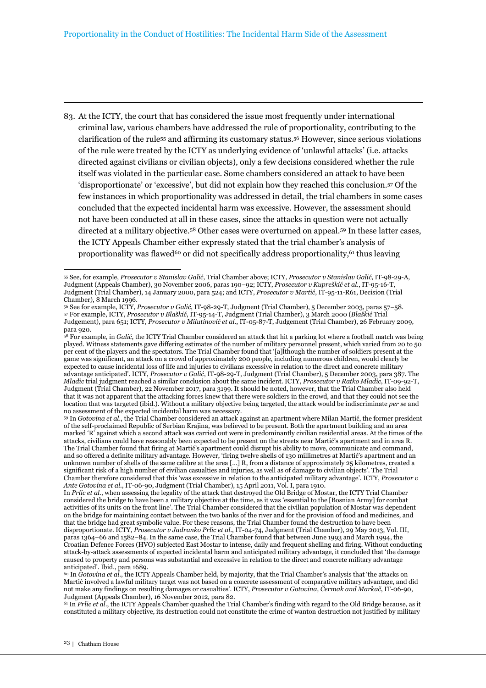83. At the ICTY, the court that has considered the issue most frequently under international criminal law, various chambers have addressed the rule of proportionality, contributing to the clarification of the rule55 and affirming its customary status.56 However, since serious violations of the rule were treated by the ICTY as underlying evidence of 'unlawful attacks' (i.e. attacks directed against civilians or civilian objects), only a few decisions considered whether the rule itself was violated in the particular case. Some chambers considered an attack to have been 'disproportionate' or 'excessive', but did not explain how they reached this conclusion.57 Of the few instances in which proportionality was addressed in detail, the trial chambers in some cases concluded that the expected incidental harm was excessive. However, the assessment should not have been conducted at all in these cases, since the attacks in question were not actually directed at a military objective.58 Other cases were overturned on appeal.59 In these latter cases, the ICTY Appeals Chamber either expressly stated that the trial chamber's analysis of proportionality was flawed<sup>60</sup> or did not specifically address proportionality,<sup>61</sup> thus leaving

<sup>59</sup> In *Gotovina et al.*, the Trial Chamber considered an attack against an apartment where Milan Martić, the former president of the self-proclaimed Republic of Serbian Krajina, was believed to be present. Both the apartment building and an area marked 'R' against which a second attack was carried out were in predominantly civilian residential areas. At the times of the attacks, civilians could have reasonably been expected to be present on the streets near Martić's apartment and in area R. The Trial Chamber found that firing at Martić's apartment could disrupt his ability to move, communicate and command, and so offered a definite military advantage. However, 'firing twelve shells of 130 millimetres at Martić's apartment and an unknown number of shells of the same calibre at the area […] R, from a distance of approximately 25 kilometres, created a significant risk of a high number of civilian casualties and injuries, as well as of damage to civilian objects'. The Trial Chamber therefore considered that this 'was excessive in relation to the anticipated military advantage'. ICTY, *Prosecutor v Ante Gotovina et al.*, IT-06-90, Judgment (Trial Chamber), 15 April 2011, Vol. I, para 1910.

<sup>61</sup> In *Prlic et al.*, the ICTY Appeals Chamber quashed the Trial Chamber's finding with regard to the Old Bridge because, as it constituted a military objective, its destruction could not constitute the crime of wanton destruction not justified by military

<sup>55</sup> See, for example, *Prosecutor v Stanislav Galić*, Trial Chamber above; ICTY, *Prosecutor v Stanislav Galić*, IT-98-29-A, Judgment (Appeals Chamber), 30 November 2006, paras 190–92; ICTY, *Prosecutor v Kupreškić et al.*, IT-95-16-T, Judgment (Trial Chamber), 14 January 2000, para 524; and ICTY, *Prosecutor v Martić*, IT-95-11-R61, Decision (Trial Chamber), 8 March 1996.

<sup>56</sup> See for example, ICTY, *Prosecutor v Galić*, IT-98-29-T, Judgment (Trial Chamber), 5 December 2003, paras 57–58. <sup>57</sup> For example, ICTY, *Prosecutor v Blaškić*, IT-95-14-T, Judgment (Trial Chamber), 3 March 2000 (*Blaškić* Trial Judgement), para 651; ICTY, *Prosecutor v Milutinović et al.*, IT-05-87-T, Judgement (Trial Chamber), 26 February 2009, para 920.

<sup>58</sup> For example, in *Galić*, the ICTY Trial Chamber considered an attack that hit a parking lot where a football match was being played. Witness statements gave differing estimates of the number of military personnel present, which varied from 20 to 50 per cent of the players and the spectators. The Trial Chamber found that '[a]lthough the number of soldiers present at the game was significant, an attack on a crowd of approximately 200 people, including numerous children, would clearly be expected to cause incidental loss of life and injuries to civilians excessive in relation to the direct and concrete military advantage anticipated'. ICTY, *Prosecutor v Galić*, IT-98-29-T, Judgment (Trial Chamber), 5 December 2003, para 387. The *Mladic* trial judgment reached a similar conclusion about the same incident. ICTY, *Prosecutor v Ratko Mladic*, IT-09-92-T, Judgment (Trial Chamber), 22 November 2017, para 3199. It should be noted, however, that the Trial Chamber also held that it was not apparent that the attacking forces knew that there were soldiers in the crowd, and that they could not see the location that was targeted (ibid.). Without a military objective being targeted, the attack would be indiscriminate *per se* and no assessment of the expected incidental harm was necessary.

In *Prlic et al.*, when assessing the legality of the attack that destroyed the Old Bridge of Mostar, the ICTY Trial Chamber considered the bridge to have been a military objective at the time, as it was 'essential to the [Bosnian Army] for combat activities of its units on the front line'. The Trial Chamber considered that the civilian population of Mostar was dependent on the bridge for maintaining contact between the two banks of the river and for the provision of food and medicines, and that the bridge had great symbolic value. For these reasons, the Trial Chamber found the destruction to have been disproportionate. ICTY, *Prosecutor v Jadranko Prlic et al.*, IT-04-74, Judgment (Trial Chamber), 29 May 2013, Vol. III, paras 1364–66 and 1582–84. In the same case, the Trial Chamber found that between June 1993 and March 1994, the Croatian Defence Forces (HVO) subjected East Mostar to intense, daily and frequent shelling and firing. Without conducting attack-by-attack assessments of expected incidental harm and anticipated military advantage, it concluded that 'the damage caused to property and persons was substantial and excessive in relation to the direct and concrete military advantage anticipated'. Ibid., para 1689.

<sup>&</sup>lt;sup>60</sup> In *Gotovina et al.*, the ICTY Appeals Chamber held, by majority, that the Trial Chamber's analysis that 'the attacks on Martić involved a lawful military target was not based on a concrete assessment of comparative military advantage, and did not make any findings on resulting damages or casualties'. ICTY, *Prosecutor v Gotovina, Čermak and Markač*, IT-06-90, Judgment (Appeals Chamber), 16 November 2012, para 82.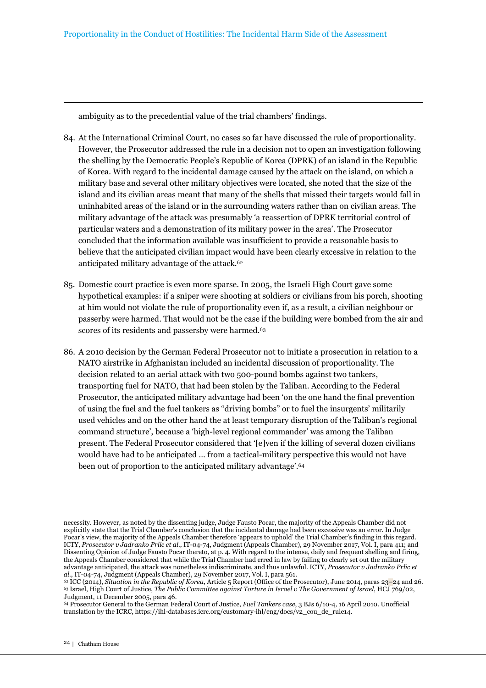ambiguity as to the precedential value of the trial chambers' findings.

- 84. At the International Criminal Court, no cases so far have discussed the rule of proportionality. However, the Prosecutor addressed the rule in a decision not to open an investigation following the shelling by the Democratic People's Republic of Korea (DPRK) of an island in the Republic of Korea. With regard to the incidental damage caused by the attack on the island, on which a military base and several other military objectives were located, she noted that the size of the island and its civilian areas meant that many of the shells that missed their targets would fall in uninhabited areas of the island or in the surrounding waters rather than on civilian areas. The military advantage of the attack was presumably 'a reassertion of DPRK territorial control of particular waters and a demonstration of its military power in the area'. The Prosecutor concluded that the information available was insufficient to provide a reasonable basis to believe that the anticipated civilian impact would have been clearly excessive in relation to the anticipated military advantage of the attack.<sup>62</sup>
- 85. Domestic court practice is even more sparse. In 2005, the Israeli High Court gave some hypothetical examples: if a sniper were shooting at soldiers or civilians from his porch, shooting at him would not violate the rule of proportionality even if, as a result, a civilian neighbour or passerby were harmed. That would not be the case if the building were bombed from the air and scores of its residents and passersby were harmed.<sup>63</sup>
- 86. A 2010 decision by the German Federal Prosecutor not to initiate a prosecution in relation to a NATO airstrike in Afghanistan included an incidental discussion of proportionality. The decision related to an aerial attack with two 500-pound bombs against two tankers, transporting fuel for NATO, that had been stolen by the Taliban. According to the Federal Prosecutor, the anticipated military advantage had been 'on the one hand the final prevention of using the fuel and the fuel tankers as "driving bombs" or to fuel the insurgents' militarily used vehicles and on the other hand the at least temporary disruption of the Taliban's regional command structure', because a 'high-level regional commander' was among the Taliban present. The Federal Prosecutor considered that '[e]ven if the killing of several dozen civilians would have had to be anticipated … from a tactical-military perspective this would not have been out of proportion to the anticipated military advantage'.<sup>64</sup>

necessity. However, as noted by the dissenting judge, Judge Fausto Pocar, the majority of the Appeals Chamber did not explicitly state that the Trial Chamber's conclusion that the incidental damage had been excessive was an error. In Judge Pocar's view, the majority of the Appeals Chamber therefore 'appears to uphold' the Trial Chamber's finding in this regard. ICTY, *Prosecutor v Jadranko Prlic et al.*, IT-04-74, Judgment (Appeals Chamber), 29 November 2017, Vol. I, para 411; and Dissenting Opinion of Judge Fausto Pocar thereto, at p. 4. With regard to the intense, daily and frequent shelling and firing, the Appeals Chamber considered that while the Trial Chamber had erred in law by failing to clearly set out the military advantage anticipated, the attack was nonetheless indiscriminate, and thus unlawful. ICTY, *Prosecutor v Jadranko Prlic et al.*, IT-04-74, Judgment (Appeals Chamber), 29 November 2017, Vol. I, para 561.

<sup>62</sup> ICC (2014), *Situation in the Republic of Korea*, Article 5 Report (Office of the Prosecutor), June 2014, paras 23–24 and 26. <sup>63</sup> Israel, High Court of Justice, *The Public Committee against Torture in Israel v The Government of Israel*, HCJ 769/02, Judgment, 11 December 2005, para 46.

<sup>64</sup> Prosecutor General to the German Federal Court of Justice, *Fuel Tankers case*, 3 BJs 6/10-4, 16 April 2010. Unofficial translation by the ICRC, https://ihl-databases.icrc.org/customary-ihl/eng/docs/v2\_cou\_de\_rule14.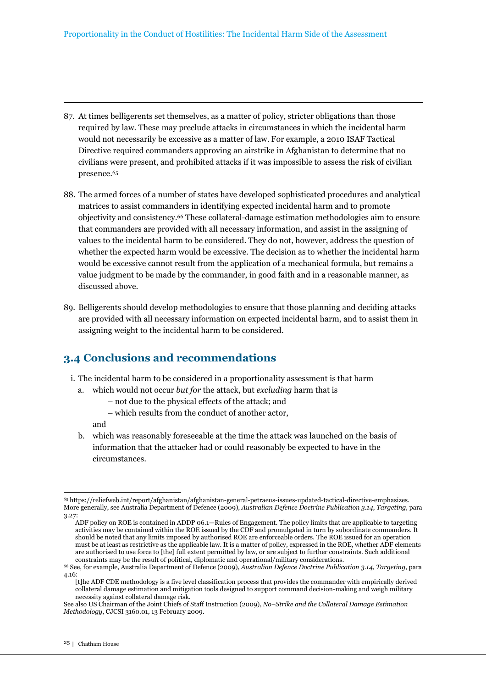- 87. At times belligerents set themselves, as a matter of policy, stricter obligations than those required by law. These may preclude attacks in circumstances in which the incidental harm would not necessarily be excessive as a matter of law. For example, a 2010 ISAF Tactical Directive required commanders approving an airstrike in Afghanistan to determine that no civilians were present, and prohibited attacks if it was impossible to assess the risk of civilian presence.<sup>65</sup>
- 88. The armed forces of a number of states have developed sophisticated procedures and analytical matrices to assist commanders in identifying expected incidental harm and to promote objectivity and consistency.66 These collateral-damage estimation methodologies aim to ensure that commanders are provided with all necessary information, and assist in the assigning of values to the incidental harm to be considered. They do not, however, address the question of whether the expected harm would be excessive. The decision as to whether the incidental harm would be excessive cannot result from the application of a mechanical formula, but remains a value judgment to be made by the commander, in good faith and in a reasonable manner, as discussed above.
- 89. Belligerents should develop methodologies to ensure that those planning and deciding attacks are provided with all necessary information on expected incidental harm, and to assist them in assigning weight to the incidental harm to be considered.

# **3.4 Conclusions and recommendations**

- i. The incidental harm to be considered in a proportionality assessment is that harm
	- a. which would not occur *but for* the attack, but *excluding* harm that is
		- not due to the physical effects of the attack; and
		- which results from the conduct of another actor,

and

b. which was reasonably foreseeable at the time the attack was launched on the basis of information that the attacker had or could reasonably be expected to have in the circumstances.

[t]he ADF CDE methodology is a five level classification process that provides the commander with empirically derived collateral damage estimation and mitigation tools designed to support command decision-making and weigh military necessity against collateral damage risk.

 $\overline{a}$ <sup>65</sup> https://reliefweb.int/report/afghanistan/afghanistan-general-petraeus-issues-updated-tactical-directive-emphasizes. More generally, see Australia Department of Defence (2009), *Australian Defence Doctrine Publication 3.14, Targeting,* para 3.27:

ADF policy on ROE is contained in ADDP 06.1—Rules of Engagement. The policy limits that are applicable to targeting activities may be contained within the ROE issued by the CDF and promulgated in turn by subordinate commanders. It should be noted that any limits imposed by authorised ROE are enforceable orders. The ROE issued for an operation must be at least as restrictive as the applicable law. It is a matter of policy, expressed in the ROE, whether ADF elements are authorised to use force to [the] full extent permitted by law, or are subject to further constraints. Such additional constraints may be the result of political, diplomatic and operational/military considerations.

<sup>66</sup> See, for example, Australia Department of Defence (2009), *Australian Defence Doctrine Publication 3.14, Targeting*, para 4.16:

See also US Chairman of the Joint Chiefs of Staff Instruction (2009), *No–Strike and the Collateral Damage Estimation Methodology*, CJCSI 3160.01, 13 February 2009.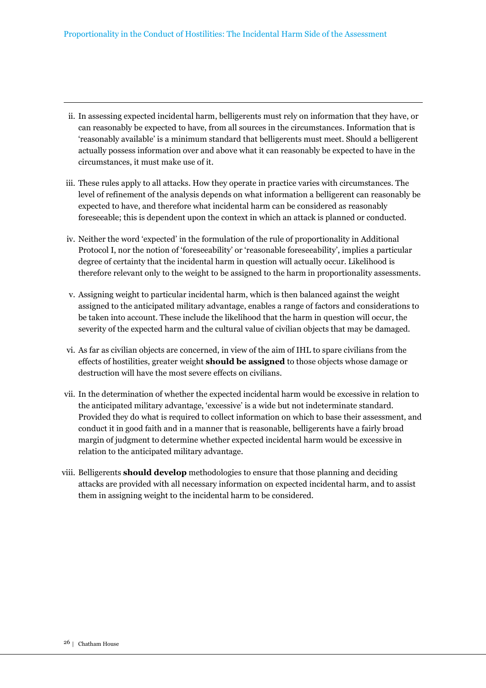- ii. In assessing expected incidental harm, belligerents must rely on information that they have, or can reasonably be expected to have, from all sources in the circumstances. Information that is 'reasonably available' is a minimum standard that belligerents must meet. Should a belligerent actually possess information over and above what it can reasonably be expected to have in the circumstances, it must make use of it.
- iii. These rules apply to all attacks. How they operate in practice varies with circumstances. The level of refinement of the analysis depends on what information a belligerent can reasonably be expected to have, and therefore what incidental harm can be considered as reasonably foreseeable; this is dependent upon the context in which an attack is planned or conducted.
- iv. Neither the word 'expected' in the formulation of the rule of proportionality in Additional Protocol I, nor the notion of 'foreseeability' or 'reasonable foreseeability', implies a particular degree of certainty that the incidental harm in question will actually occur. Likelihood is therefore relevant only to the weight to be assigned to the harm in proportionality assessments.
- v. Assigning weight to particular incidental harm, which is then balanced against the weight assigned to the anticipated military advantage, enables a range of factors and considerations to be taken into account. These include the likelihood that the harm in question will occur, the severity of the expected harm and the cultural value of civilian objects that may be damaged.
- vi. As far as civilian objects are concerned, in view of the aim of IHL to spare civilians from the effects of hostilities, greater weight **should be assigned** to those objects whose damage or destruction will have the most severe effects on civilians.
- vii. In the determination of whether the expected incidental harm would be excessive in relation to the anticipated military advantage, 'excessive' is a wide but not indeterminate standard. Provided they do what is required to collect information on which to base their assessment, and conduct it in good faith and in a manner that is reasonable, belligerents have a fairly broad margin of judgment to determine whether expected incidental harm would be excessive in relation to the anticipated military advantage.
- viii. Belligerents **should develop** methodologies to ensure that those planning and deciding attacks are provided with all necessary information on expected incidental harm, and to assist them in assigning weight to the incidental harm to be considered.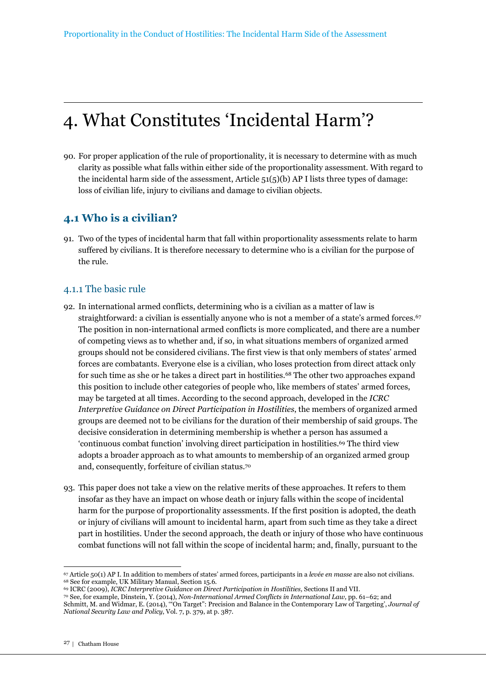# 4. What Constitutes 'Incidental Harm'?

90. For proper application of the rule of proportionality, it is necessary to determine with as much clarity as possible what falls within either side of the proportionality assessment. With regard to the incidental harm side of the assessment, Article  $51(5)(b)$  AP I lists three types of damage: loss of civilian life, injury to civilians and damage to civilian objects.

# **4.1 Who is a civilian?**

91. Two of the types of incidental harm that fall within proportionality assessments relate to harm suffered by civilians. It is therefore necessary to determine who is a civilian for the purpose of the rule.

### 4.1.1 The basic rule

- 92. In international armed conflicts, determining who is a civilian as a matter of law is straightforward: a civilian is essentially anyone who is not a member of a state's armed forces.<sup>67</sup> The position in non-international armed conflicts is more complicated, and there are a number of competing views as to whether and, if so, in what situations members of organized armed groups should not be considered civilians. The first view is that only members of states' armed forces are combatants. Everyone else is a civilian, who loses protection from direct attack only for such time as she or he takes a direct part in hostilities.68 The other two approaches expand this position to include other categories of people who, like members of states' armed forces, may be targeted at all times. According to the second approach, developed in the *ICRC Interpretive Guidance on Direct Participation in Hostilities*, the members of organized armed groups are deemed not to be civilians for the duration of their membership of said groups. The decisive consideration in determining membership is whether a person has assumed a 'continuous combat function' involving direct participation in hostilities.69 The third view adopts a broader approach as to what amounts to membership of an organized armed group and, consequently, forfeiture of civilian status.<sup>70</sup>
- 93. This paper does not take a view on the relative merits of these approaches. It refers to them insofar as they have an impact on whose death or injury falls within the scope of incidental harm for the purpose of proportionality assessments. If the first position is adopted, the death or injury of civilians will amount to incidental harm, apart from such time as they take a direct part in hostilities. Under the second approach, the death or injury of those who have continuous combat functions will not fall within the scope of incidental harm; and, finally, pursuant to the

<sup>67</sup> Article 50(1) AP I. In addition to members of states' armed forces, participants in a *levée en masse* are also not civilians. <sup>68</sup> See for example, UK Military Manual, Section 15.6.

<sup>69</sup> ICRC (2009), *ICRC Interpretive Guidance on Direct Participation in Hostilities,* Sections II and VII.

<sup>70</sup> See, for example, Dinstein, Y. (2014), *Non-International Armed Conflicts in International Law,* pp. 61–62; and Schmitt, M. and Widmar, E. (2014), '"On Target": Precision and Balance in the Contemporary Law of Targeting', *Journal of National Security Law and Policy*, Vol. 7, p. 379, at p. 387.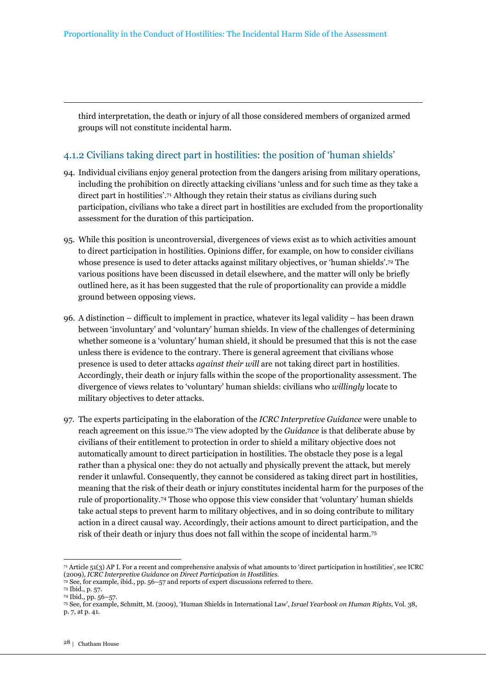third interpretation, the death or injury of all those considered members of organized armed groups will not constitute incidental harm.

### 4.1.2 Civilians taking direct part in hostilities: the position of 'human shields'

- 94. Individual civilians enjoy general protection from the dangers arising from military operations, including the prohibition on directly attacking civilians 'unless and for such time as they take a direct part in hostilities'.71 Although they retain their status as civilians during such participation, civilians who take a direct part in hostilities are excluded from the proportionality assessment for the duration of this participation.
- 95. While this position is uncontroversial, divergences of views exist as to which activities amount to direct participation in hostilities. Opinions differ, for example, on how to consider civilians whose presence is used to deter attacks against military objectives, or 'human shields'.72 The various positions have been discussed in detail elsewhere, and the matter will only be briefly outlined here, as it has been suggested that the rule of proportionality can provide a middle ground between opposing views.
- 96. A distinction difficult to implement in practice, whatever its legal validity has been drawn between 'involuntary' and 'voluntary' human shields. In view of the challenges of determining whether someone is a 'voluntary' human shield, it should be presumed that this is not the case unless there is evidence to the contrary. There is general agreement that civilians whose presence is used to deter attacks *against their will* are not taking direct part in hostilities. Accordingly, their death or injury falls within the scope of the proportionality assessment. The divergence of views relates to 'voluntary' human shields: civilians who *willingly* locate to military objectives to deter attacks.
- 97. The experts participating in the elaboration of the *ICRC Interpretive Guidance* were unable to reach agreement on this issue.73 The view adopted by the *Guidance* is that deliberate abuse by civilians of their entitlement to protection in order to shield a military objective does not automatically amount to direct participation in hostilities. The obstacle they pose is a legal rather than a physical one: they do not actually and physically prevent the attack, but merely render it unlawful. Consequently, they cannot be considered as taking direct part in hostilities, meaning that the risk of their death or injury constitutes incidental harm for the purposes of the rule of proportionality.74 Those who oppose this view consider that 'voluntary' human shields take actual steps to prevent harm to military objectives, and in so doing contribute to military action in a direct causal way. Accordingly, their actions amount to direct participation, and the risk of their death or injury thus does not fall within the scope of incidental harm.<sup>75</sup>

 $71$  Article 51(3) AP I. For a recent and comprehensive analysis of what amounts to 'direct participation in hostilities', see ICRC (2009), *ICRC Interpretive Guidance on Direct Participation in Hostilities*.

<sup>72</sup> See, for example, ibid., pp. 56–57 and reports of expert discussions referred to there.

<sup>73</sup> Ibid., p*.* 57.

<sup>74</sup> Ibid., pp. 56–57.

<sup>75</sup> See, for example, Schmitt, M. (2009), 'Human Shields in International Law', *Israel Yearbook on Human Rights,* Vol. 38, p. 7, at p. 41.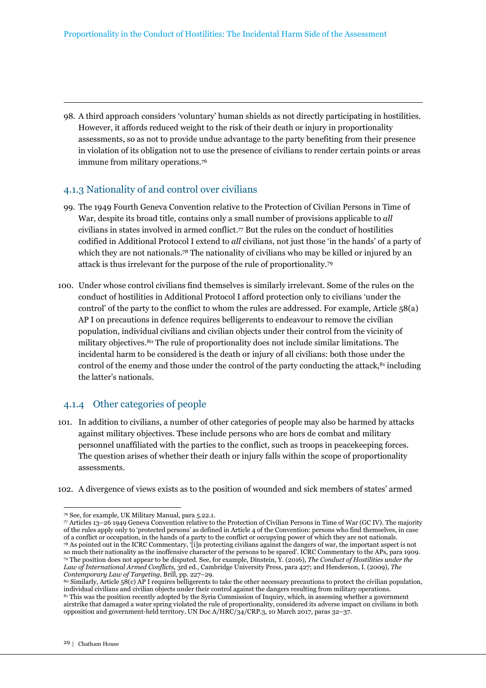98. A third approach considers 'voluntary' human shields as not directly participating in hostilities. However, it affords reduced weight to the risk of their death or injury in proportionality assessments, so as not to provide undue advantage to the party benefiting from their presence in violation of its obligation not to use the presence of civilians to render certain points or areas immune from military operations.<sup>76</sup>

### 4.1.3 Nationality of and control over civilians

- 99. The 1949 Fourth Geneva Convention relative to the Protection of Civilian Persons in Time of War, despite its broad title, contains only a small number of provisions applicable to *all*  civilians in states involved in armed conflict.77 But the rules on the conduct of hostilities codified in Additional Protocol I extend to *all* civilians, not just those 'in the hands' of a party of which they are not nationals.78 The nationality of civilians who may be killed or injured by an attack is thus irrelevant for the purpose of the rule of proportionality.<sup>79</sup>
- 100. Under whose control civilians find themselves is similarly irrelevant. Some of the rules on the conduct of hostilities in Additional Protocol I afford protection only to civilians 'under the control' of the party to the conflict to whom the rules are addressed. For example, Article 58(a) AP I on precautions in defence requires belligerents to endeavour to remove the civilian population, individual civilians and civilian objects under their control from the vicinity of military objectives.80 The rule of proportionality does not include similar limitations. The incidental harm to be considered is the death or injury of all civilians: both those under the control of the enemy and those under the control of the party conducting the attack,<sup>81</sup> including the latter's nationals.

### 4.1.4 Other categories of people

101. In addition to civilians, a number of other categories of people may also be harmed by attacks against military objectives. These include persons who are hors de combat and military personnel unaffiliated with the parties to the conflict, such as troops in peacekeeping forces. The question arises of whether their death or injury falls within the scope of proportionality assessments.

102. A divergence of views exists as to the position of wounded and sick members of states' armed

<sup>76</sup> See, for example, UK Military Manual, para 5.22.1.

 $\pi$  Articles 13–26 1949 Geneva Convention relative to the Protection of Civilian Persons in Time of War (GC IV). The majority of the rules apply only to 'protected persons' as defined in Article 4 of the Convention: persons who find themselves, in case of a conflict or occupation, in the hands of a party to the conflict or occupying power of which they are not nationals. <sup>78</sup> As pointed out in the ICRC Commentary, '[i]n protecting civilians against the dangers of war, the important aspect is not so much their nationality as the inoffensive character of the persons to be spared'. ICRC Commentary to the APs, para 1909. <sup>79</sup> The position does not appear to be disputed. See, for example, Dinstein, Y. (2016), *The Conduct of Hostilities under the Law of International Armed Conflicts*, 3rd ed., Cambridge University Press, para 427; and Henderson, I. (2009), *The Contemporary Law of Targeting*, Brill, pp. 227–29.

<sup>80</sup> Similarly, Article 58(c) AP I requires belligerents to take the other necessary precautions to protect the civilian population, individual civilians and civilian objects under their control against the dangers resulting from military operations. <sup>81</sup> This was the position recently adopted by the Syria Commission of Inquiry, which, in assessing whether a government airstrike that damaged a water spring violated the rule of proportionality, considered its adverse impact on civilians in both opposition and government-held territory. UN Doc A/HRC/34/CRP.3, 10 March 2017, paras 32–37.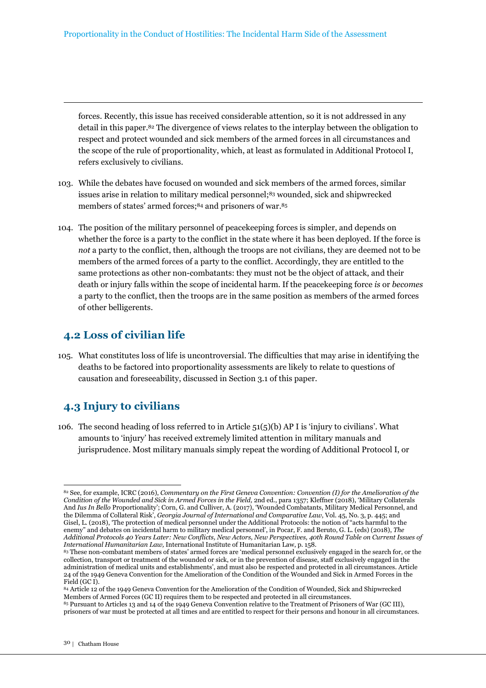forces. Recently, this issue has received considerable attention, so it is not addressed in any detail in this paper.82 The divergence of views relates to the interplay between the obligation to respect and protect wounded and sick members of the armed forces in all circumstances and the scope of the rule of proportionality, which, at least as formulated in Additional Protocol I, refers exclusively to civilians.

- 103. While the debates have focused on wounded and sick members of the armed forces, similar issues arise in relation to military medical personnel;<sup>83</sup> wounded, sick and shipwrecked members of states' armed forces;<sup>84</sup> and prisoners of war.<sup>85</sup>
- 104. The position of the military personnel of peacekeeping forces is simpler, and depends on whether the force is a party to the conflict in the state where it has been deployed. If the force is *not* a party to the conflict, then, although the troops are not civilians, they are deemed not to be members of the armed forces of a party to the conflict. Accordingly, they are entitled to the same protections as other non-combatants: they must not be the object of attack, and their death or injury falls within the scope of incidental harm. If the peacekeeping force *is* or *becomes*  a party to the conflict, then the troops are in the same position as members of the armed forces of other belligerents.

### **4.2 Loss of civilian life**

105. What constitutes loss of life is uncontroversial. The difficulties that may arise in identifying the deaths to be factored into proportionality assessments are likely to relate to questions of causation and foreseeability, discussed in Section 3.1 of this paper.

# **4.3 Injury to civilians**

106. The second heading of loss referred to in Article 51(5)(b) AP I is 'injury to civilians'. What amounts to 'injury' has received extremely limited attention in military manuals and jurisprudence. Most military manuals simply repeat the wording of Additional Protocol I, or

<sup>82</sup> See, for example, ICRC (2016), *Commentary on the First Geneva Convention: Convention (I) for the Amelioration of the Condition of the Wounded and Sick in Armed Forces in the Field,* 2nd ed., para 1357; Kleffner (2018), 'Military Collaterals And *Ius In Bello* Proportionality'; Corn, G. and Culliver, A. (2017), 'Wounded Combatants, Military Medical Personnel, and the Dilemma of Collateral Risk', *Georgia Journal of International and Comparative Law*, Vol. 45, No. 3, p. 445; and Gisel, L. (2018), 'The protection of medical personnel under the Additional Protocols: the notion of "acts harmful to the enemy" and debates on incidental harm to military medical personnel', in Pocar, F. and Beruto, G. L. (eds) (2018), *The Additional Protocols 40 Years Later: New Conflicts, New Actors, New Perspectives, 40th Round Table on Current Issues of International Humanitarian Law,* International Institute of Humanitarian Law, p. 158.

<sup>83</sup> These non-combatant members of states' armed forces are 'medical personnel exclusively engaged in the search for, or the collection, transport or treatment of the wounded or sick, or in the prevention of disease, staff exclusively engaged in the administration of medical units and establishments', and must also be respected and protected in all circumstances. Article 24 of the 1949 Geneva Convention for the Amelioration of the Condition of the Wounded and Sick in Armed Forces in the Field (GC I).

<sup>84</sup> Article 12 of the 1949 Geneva Convention for the Amelioration of the Condition of Wounded, Sick and Shipwrecked Members of Armed Forces (GC II) requires them to be respected and protected in all circumstances.

<sup>85</sup> Pursuant to Articles 13 and 14 of the 1949 Geneva Convention relative to the Treatment of Prisoners of War (GC III), prisoners of war must be protected at all times and are entitled to respect for their persons and honour in all circumstances.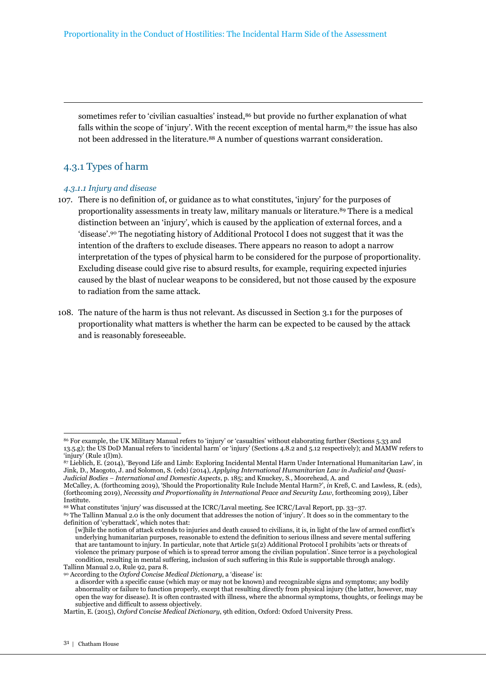sometimes refer to 'civilian casualties' instead,86 but provide no further explanation of what falls within the scope of 'injury'. With the recent exception of mental harm,<sup>87</sup> the issue has also not been addressed in the literature.88 A number of questions warrant consideration.

### 4.3.1 Types of harm

#### *4.3.1.1 Injury and disease*

- 107. There is no definition of, or guidance as to what constitutes, 'injury' for the purposes of proportionality assessments in treaty law, military manuals or literature.89 There is a medical distinction between an 'injury', which is caused by the application of external forces, and a 'disease'.90 The negotiating history of Additional Protocol I does not suggest that it was the intention of the drafters to exclude diseases. There appears no reason to adopt a narrow interpretation of the types of physical harm to be considered for the purpose of proportionality. Excluding disease could give rise to absurd results, for example, requiring expected injuries caused by the blast of nuclear weapons to be considered, but not those caused by the exposure to radiation from the same attack.
- 108. The nature of the harm is thus not relevant. As discussed in Section 3.1 for the purposes of proportionality what matters is whether the harm can be expected to be caused by the attack and is reasonably foreseeable.

<sup>86</sup> For example, the UK Military Manual refers to 'injury' or 'casualties' without elaborating further (Sections 5.33 and 13.5.g); the US DoD Manual refers to 'incidental harm' or 'injury' (Sections 4.8.2 and 5.12 respectively); and MAMW refers to 'injury' (Rule 1(l)m).

<sup>87</sup> Lieblich, E. (2014), 'Beyond Life and Limb: Exploring Incidental Mental Harm Under International Humanitarian Law', in Jink, D., Maogoto, J. and Solomon, S. (eds) (2014), *Applying International Humanitarian Law in Judicial and Quasi-Judicial Bodies – International and Domestic Aspects*, p. 185; and Knuckey, S., Moorehead, A. and

McCalley, A. (forthcoming 2019), 'Should the Proportionality Rule Include Mental Harm?', *in* Kreß, C. and Lawless, R. (eds), (forthcoming 2019), *Necessity and Proportionality in International Peace and Security Law*, forthcoming 2019), Liber Institute.

<sup>88</sup> What constitutes 'injury' was discussed at the ICRC/Laval meeting. See ICRC/Laval Report, pp. 33–37.

<sup>89</sup> The Tallinn Manual 2.0 is the only document that addresses the notion of 'injury'. It does so in the commentary to the definition of 'cyberattack', which notes that:

<sup>[</sup>w]hile the notion of attack extends to injuries and death caused to civilians, it is, in light of the law of armed conflict's underlying humanitarian purposes, reasonable to extend the definition to serious illness and severe mental suffering that are tantamount to injury. In particular, note that Article 51(2) Additional Protocol I prohibits 'acts or threats of violence the primary purpose of which is to spread terror among the civilian population'. Since terror is a psychological condition, resulting in mental suffering, inclusion of such suffering in this Rule is supportable through analogy. Tallinn Manual 2.0, Rule 92, para 8.

<sup>90</sup> According to the *Oxford Concise Medical Dictionary*, a 'disease' is:

a disorder with a specific cause (which may or may not be known) and recognizable signs and symptoms; any bodily abnormality or failure to function properly, except that resulting directly from physical injury (the latter, however, may open the way for disease). It is often contrasted with illness, where the abnormal symptoms, thoughts, or feelings may be subjective and difficult to assess objectively.

Martin, E. (2015), *Oxford Concise Medical Dictionary*, 9th edition, Oxford: Oxford University Press.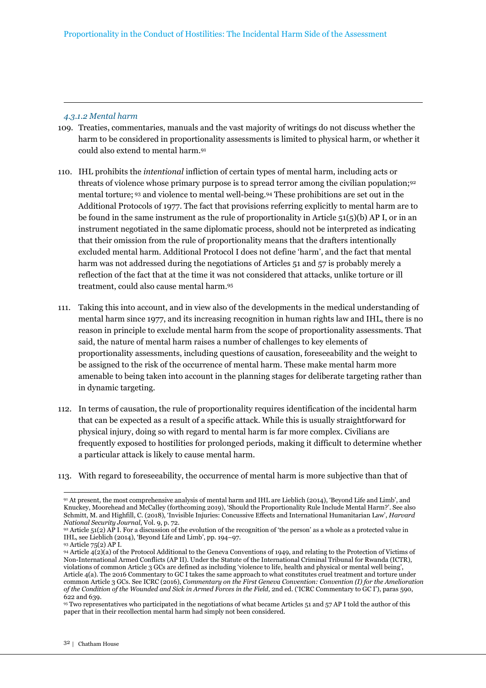#### *4.3.1.2 Mental harm*

- 109. Treaties, commentaries, manuals and the vast majority of writings do not discuss whether the harm to be considered in proportionality assessments is limited to physical harm, or whether it could also extend to mental harm.<sup>91</sup>
- 110. IHL prohibits the *intentional* infliction of certain types of mental harm, including acts or threats of violence whose primary purpose is to spread terror among the civilian population;<sup>92</sup> mental torture; 93 and violence to mental well-being.94 These prohibitions are set out in the Additional Protocols of 1977. The fact that provisions referring explicitly to mental harm are to be found in the same instrument as the rule of proportionality in Article  $51(5)(b)$  AP I, or in an instrument negotiated in the same diplomatic process, should not be interpreted as indicating that their omission from the rule of proportionality means that the drafters intentionally excluded mental harm. Additional Protocol I does not define 'harm', and the fact that mental harm was not addressed during the negotiations of Articles 51 and 57 is probably merely a reflection of the fact that at the time it was not considered that attacks, unlike torture or ill treatment, could also cause mental harm.<sup>95</sup>
- 111. Taking this into account, and in view also of the developments in the medical understanding of mental harm since 1977, and its increasing recognition in human rights law and IHL, there is no reason in principle to exclude mental harm from the scope of proportionality assessments. That said, the nature of mental harm raises a number of challenges to key elements of proportionality assessments, including questions of causation, foreseeability and the weight to be assigned to the risk of the occurrence of mental harm. These make mental harm more amenable to being taken into account in the planning stages for deliberate targeting rather than in dynamic targeting.
- 112. In terms of causation, the rule of proportionality requires identification of the incidental harm that can be expected as a result of a specific attack. While this is usually straightforward for physical injury, doing so with regard to mental harm is far more complex. Civilians are frequently exposed to hostilities for prolonged periods, making it difficult to determine whether a particular attack is likely to cause mental harm.
- 113. With regard to foreseeability, the occurrence of mental harm is more subjective than that of

 $\overline{a}$ <sup>91</sup> At present, the most comprehensive analysis of mental harm and IHL are Lieblich (2014), 'Beyond Life and Limb', and Knuckey, Moorehead and McCalley (forthcoming 2019), 'Should the Proportionality Rule Include Mental Harm?'. See also Schmitt, M. and Highfill, C. (2018), 'Invisible Injuries: Concussive Effects and International Humanitarian Law', *Harvard National Security Journal*, Vol. 9, p. 72.

<sup>92</sup> Article 51(2) AP I. For a discussion of the evolution of the recognition of 'the person' as a whole as a protected value in IHL, see Lieblich (2014), 'Beyond Life and Limb', pp. 194–97*.*

<sup>93</sup> Article 75(2) AP I.

<sup>94</sup> Article 4(2)(a) of the Protocol Additional to the Geneva Conventions of 1949, and relating to the Protection of Victims of Non-International Armed Conflicts (AP II). Under the Statute of the International Criminal Tribunal for Rwanda (ICTR), violations of common Article 3 GCs are defined as including 'violence to life, health and physical or mental well being', Article 4(a). The 2016 Commentary to GC I takes the same approach to what constitutes cruel treatment and torture under common Article 3 GCs. See ICRC (2016), *Commentary on the First Geneva Convention: Convention (I) for the Amelioration of the Condition of the Wounded and Sick in Armed Forces in the Field,* 2nd ed. ('ICRC Commentary to GC I'), paras 590, 622 and 639.

<sup>95</sup> Two representatives who participated in the negotiations of what became Articles 51 and 57 AP I told the author of this paper that in their recollection mental harm had simply not been considered.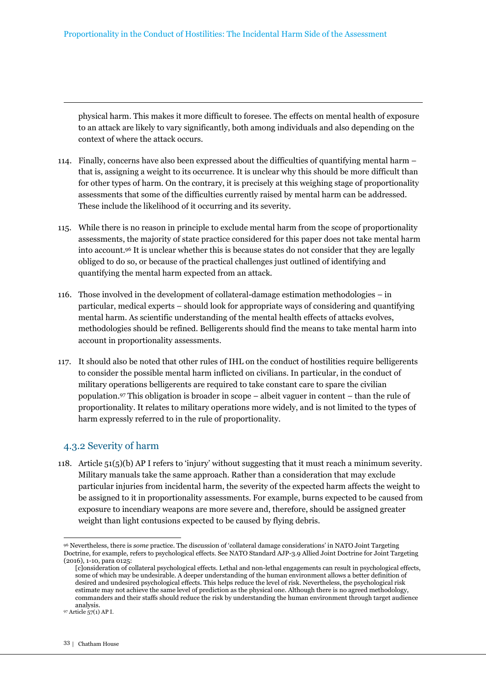physical harm. This makes it more difficult to foresee. The effects on mental health of exposure to an attack are likely to vary significantly, both among individuals and also depending on the context of where the attack occurs.

- 114. Finally, concerns have also been expressed about the difficulties of quantifying mental harm that is, assigning a weight to its occurrence. It is unclear why this should be more difficult than for other types of harm. On the contrary, it is precisely at this weighing stage of proportionality assessments that some of the difficulties currently raised by mental harm can be addressed. These include the likelihood of it occurring and its severity.
- 115. While there is no reason in principle to exclude mental harm from the scope of proportionality assessments, the majority of state practice considered for this paper does not take mental harm into account.96 It is unclear whether this is because states do not consider that they are legally obliged to do so, or because of the practical challenges just outlined of identifying and quantifying the mental harm expected from an attack.
- 116. Those involved in the development of collateral-damage estimation methodologies in particular, medical experts – should look for appropriate ways of considering and quantifying mental harm. As scientific understanding of the mental health effects of attacks evolves, methodologies should be refined. Belligerents should find the means to take mental harm into account in proportionality assessments.
- 117. It should also be noted that other rules of IHL on the conduct of hostilities require belligerents to consider the possible mental harm inflicted on civilians. In particular, in the conduct of military operations belligerents are required to take constant care to spare the civilian population.97 This obligation is broader in scope – albeit vaguer in content – than the rule of proportionality. It relates to military operations more widely, and is not limited to the types of harm expressly referred to in the rule of proportionality.

### 4.3.2 Severity of harm

118. Article 51(5)(b) AP I refers to 'injury' without suggesting that it must reach a minimum severity. Military manuals take the same approach. Rather than a consideration that may exclude particular injuries from incidental harm, the severity of the expected harm affects the weight to be assigned to it in proportionality assessments. For example, burns expected to be caused from exposure to incendiary weapons are more severe and, therefore, should be assigned greater weight than light contusions expected to be caused by flying debris.

 $\overline{a}$ <sup>96</sup> Nevertheless, there is *some* practice. The discussion of 'collateral damage considerations' in NATO Joint Targeting Doctrine, for example, refers to psychological effects. See NATO Standard AJP-3.9 Allied Joint Doctrine for Joint Targeting (2016), 1-10, para 0125:

<sup>[</sup>c]onsideration of collateral psychological effects. Lethal and non-lethal engagements can result in psychological effects, some of which may be undesirable. A deeper understanding of the human environment allows a better definition of desired and undesired psychological effects. This helps reduce the level of risk. Nevertheless, the psychological risk estimate may not achieve the same level of prediction as the physical one. Although there is no agreed methodology, commanders and their staffs should reduce the risk by understanding the human environment through target audience analysis.

<sup>97</sup> Article 57(1) AP I.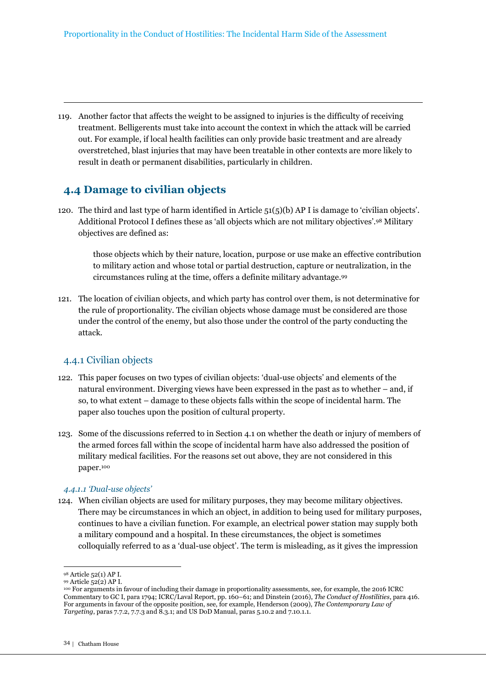119. Another factor that affects the weight to be assigned to injuries is the difficulty of receiving treatment. Belligerents must take into account the context in which the attack will be carried out. For example, if local health facilities can only provide basic treatment and are already overstretched, blast injuries that may have been treatable in other contexts are more likely to result in death or permanent disabilities, particularly in children.

## **4.4 Damage to civilian objects**

120. The third and last type of harm identified in Article 51(5)(b) AP I is damage to 'civilian objects'. Additional Protocol I defines these as 'all objects which are not military objectives'.98 Military objectives are defined as:

those objects which by their nature, location, purpose or use make an effective contribution to military action and whose total or partial destruction, capture or neutralization, in the circumstances ruling at the time, offers a definite military advantage.<sup>99</sup>

121. The location of civilian objects, and which party has control over them, is not determinative for the rule of proportionality. The civilian objects whose damage must be considered are those under the control of the enemy, but also those under the control of the party conducting the attack.

### 4.4.1 Civilian objects

- 122. This paper focuses on two types of civilian objects: 'dual-use objects' and elements of the natural environment. Diverging views have been expressed in the past as to whether – and, if so, to what extent – damage to these objects falls within the scope of incidental harm. The paper also touches upon the position of cultural property.
- 123. Some of the discussions referred to in Section 4.1 on whether the death or injury of members of the armed forces fall within the scope of incidental harm have also addressed the position of military medical facilities. For the reasons set out above, they are not considered in this paper.<sup>100</sup>

#### *4.4.1.1 'Dual-use objects'*

124. When civilian objects are used for military purposes, they may become military objectives. There may be circumstances in which an object, in addition to being used for military purposes, continues to have a civilian function. For example, an electrical power station may supply both a military compound and a hospital. In these circumstances, the object is sometimes colloquially referred to as a 'dual-use object'. The term is misleading, as it gives the impression

<sup>98</sup> Article 52(1) AP I.

<sup>99</sup> Article 52(2) AP I.

<sup>100</sup> For arguments in favour of including their damage in proportionality assessments, see, for example, the 2016 ICRC Commentary to GC I, para 1794; ICRC/Laval Report, pp. 160–61; and Dinstein (2016), *The Conduct of Hostilities*, para 416. For arguments in favour of the opposite position, see, for example, Henderson (2009), *The Contemporary Law of Targeting*, paras 7.7.2, 7.7.3 and 8.3.1; and US DoD Manual, paras 5.10.2 and 7.10.1.1.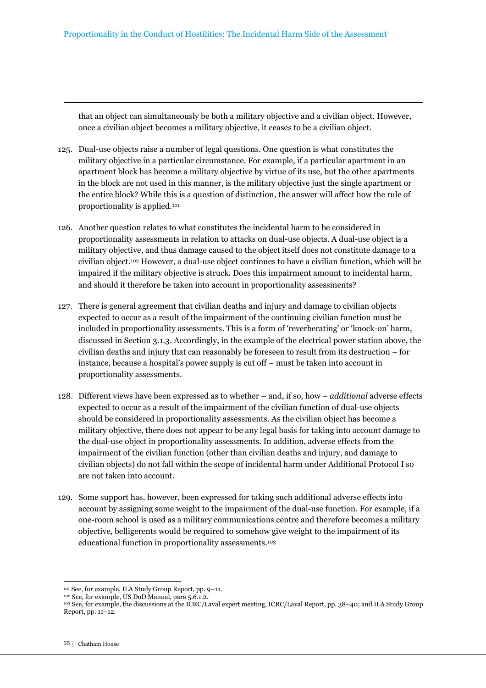that an object can simultaneously be both a military objective and a civilian object. However, once a civilian object becomes a military objective, it ceases to be a civilian object.

- 125. Dual-use objects raise a number of legal questions. One question is what constitutes the military objective in a particular circumstance. For example, if a particular apartment in an apartment block has become a military objective by virtue of its use, but the other apartments in the block are not used in this manner, is the military objective just the single apartment or the entire block? While this is a question of distinction, the answer will affect how the rule of proportionality is applied.<sup>101</sup>
- 126. Another question relates to what constitutes the incidental harm to be considered in proportionality assessments in relation to attacks on dual-use objects. A dual-use object is a military objective, and thus damage caused to the object itself does not constitute damage to a civilian object.102 However, a dual-use object continues to have a civilian function, which will be impaired if the military objective is struck. Does this impairment amount to incidental harm, and should it therefore be taken into account in proportionality assessments?
- 127. There is general agreement that civilian deaths and injury and damage to civilian objects expected to occur as a result of the impairment of the continuing civilian function must be included in proportionality assessments. This is a form of 'reverberating' or 'knock-on' harm, discussed in Section 3.1.3. Accordingly, in the example of the electrical power station above, the civilian deaths and injury that can reasonably be foreseen to result from its destruction – for instance, because a hospital's power supply is cut off – must be taken into account in proportionality assessments.
- 128. Different views have been expressed as to whether and, if so, how *additional* adverse effects expected to occur as a result of the impairment of the civilian function of dual-use objects should be considered in proportionality assessments. As the civilian object has become a military objective, there does not appear to be any legal basis for taking into account damage to the dual-use object in proportionality assessments. In addition, adverse effects from the impairment of the civilian function (other than civilian deaths and injury, and damage to civilian objects) do not fall within the scope of incidental harm under Additional Protocol I so are not taken into account.
- 129. Some support has, however, been expressed for taking such additional adverse effects into account by assigning some weight to the impairment of the dual-use function. For example, if a one-room school is used as a military communications centre and therefore becomes a military objective, belligerents would be required to somehow give weight to the impairment of its educational function in proportionality assessments. 103

<sup>101</sup> See, for example, ILA Study Group Report, pp. 9–11.

<sup>102</sup> See, for example, US DoD Manual, para 5.6.1.2.

<sup>103</sup> See, for example, the discussions at the ICRC/Laval expert meeting, ICRC/Laval Report, pp. 38–40; and ILA Study Group Report, pp. 11–12.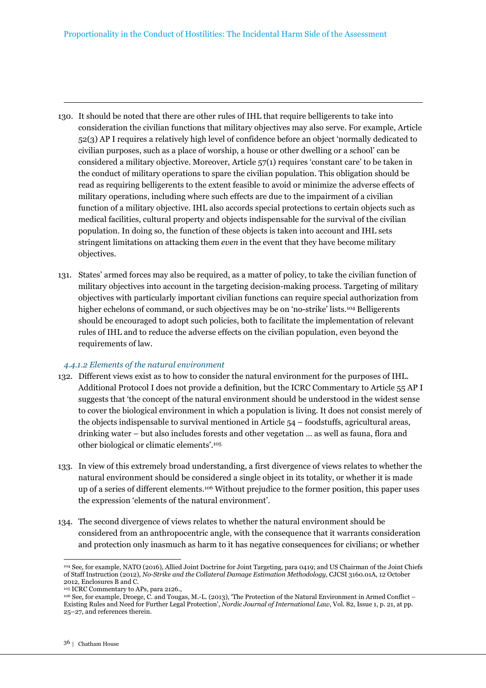- 130. It should be noted that there are other rules of IHL that require belligerents to take into consideration the civilian functions that military objectives may also serve. For example, Article 52(3) AP I requires a relatively high level of confidence before an object 'normally dedicated to civilian purposes, such as a place of worship, a house or other dwelling or a school' can be considered a military objective. Moreover, Article 57(1) requires 'constant care' to be taken in the conduct of military operations to spare the civilian population. This obligation should be read as requiring belligerents to the extent feasible to avoid or minimize the adverse effects of military operations, including where such effects are due to the impairment of a civilian function of a military objective. IHL also accords special protections to certain objects such as medical facilities, cultural property and objects indispensable for the survival of the civilian population. In doing so, the function of these objects is taken into account and IHL sets stringent limitations on attacking them *even* in the event that they have become military objectives.
- 131. States' armed forces may also be required, as a matter of policy, to take the civilian function of military objectives into account in the targeting decision-making process. Targeting of military objectives with particularly important civilian functions can require special authorization from higher echelons of command, or such objectives may be on 'no-strike' lists.<sup>104</sup> Belligerents should be encouraged to adopt such policies, both to facilitate the implementation of relevant rules of IHL and to reduce the adverse effects on the civilian population, even beyond the requirements of law.

#### *4.4.1.2 Elements of the natural environment*

- 132. Different views exist as to how to consider the natural environment for the purposes of IHL. Additional Protocol I does not provide a definition, but the ICRC Commentary to Article 55 AP I suggests that 'the concept of the natural environment should be understood in the widest sense to cover the biological environment in which a population is living. It does not consist merely of the objects indispensable to survival mentioned in Article 54 – foodstuffs, agricultural areas, drinking water – but also includes forests and other vegetation … as well as fauna, flora and other biological or climatic elements'.<sup>105</sup>
- 133. In view of this extremely broad understanding, a first divergence of views relates to whether the natural environment should be considered a single object in its totality, or whether it is made up of a series of different elements.106 Without prejudice to the former position, this paper uses the expression 'elements of the natural environment'.
- 134. The second divergence of views relates to whether the natural environment should be considered from an anthropocentric angle, with the consequence that it warrants consideration and protection only inasmuch as harm to it has negative consequences for civilians; or whether

 $\overline{a}$ <sup>104</sup> See, for example, NATO (2016), Allied Joint Doctrine for Joint Targeting, para 0419; and US Chairman of the Joint Chiefs of Staff Instruction (2012), *No-Strike and the Collateral Damage Estimation Methodology,* CJCSI 3160.01A, 12 October 2012, Enclosures B and C.

<sup>105</sup> ICRC Commentary to APs, para 2126.,

<sup>106</sup> See, for example, Droege, C. and Tougas, M.-L. (2013), 'The Protection of the Natural Environment in Armed Conflict – Existing Rules and Need for Further Legal Protection', *Nordic Journal of International Law*, Vol. 82, Issue 1, p. 21, at pp. 25–27, and references therein.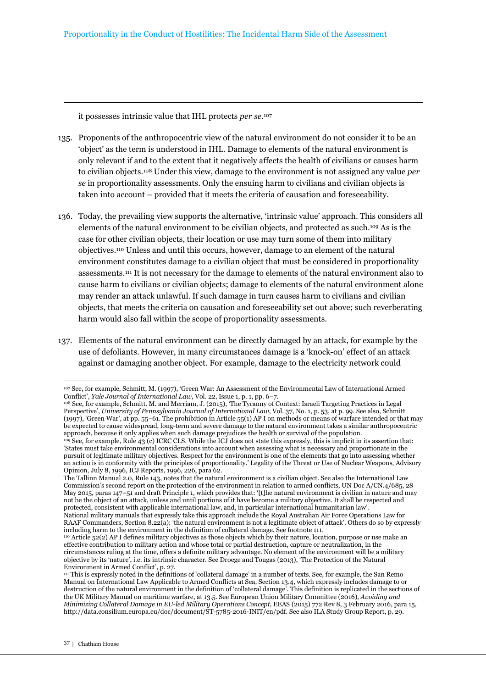it possesses intrinsic value that IHL protects *per se*. 107

- 135. Proponents of the anthropocentric view of the natural environment do not consider it to be an 'object' as the term is understood in IHL. Damage to elements of the natural environment is only relevant if and to the extent that it negatively affects the health of civilians or causes harm to civilian objects.108 Under this view, damage to the environment is not assigned any value *per se* in proportionality assessments. Only the ensuing harm to civilians and civilian objects is taken into account – provided that it meets the criteria of causation and foreseeability.
- 136. Today, the prevailing view supports the alternative, 'intrinsic value' approach. This considers all elements of the natural environment to be civilian objects, and protected as such.109 As is the case for other civilian objects, their location or use may turn some of them into military objectives.110 Unless and until this occurs, however, damage to an element of the natural environment constitutes damage to a civilian object that must be considered in proportionality assessments.111 It is not necessary for the damage to elements of the natural environment also to cause harm to civilians or civilian objects; damage to elements of the natural environment alone may render an attack unlawful. If such damage in turn causes harm to civilians and civilian objects, that meets the criteria on causation and foreseeability set out above; such reverberating harm would also fall within the scope of proportionality assessments.
- 137. Elements of the natural environment can be directly damaged by an attack, for example by the use of defoliants. However, in many circumstances damage is a 'knock-on' effect of an attack against or damaging another object. For example, damage to the electricity network could

 $\overline{a}$ <sup>107</sup> See, for example, Schmitt, M. (1997), 'Green War: An Assessment of the Environmental Law of International Armed Conflict', *Yale Journal of International Law,* Vol. 22, Issue 1, p. 1, pp. 6–7.

<sup>108</sup> See, for example, Schmitt. M. and Merriam, J. (2015), 'The Tyranny of Context: Israeli Targeting Practices in Legal Perspective', *University of Pennsylvania Journal of International Law*, Vol. 37, No. 1, p. 53, at p. 99. See also, Schmitt (1997), 'Green War', at pp. 55–61. The prohibition in Article 55(1) AP I on methods or means of warfare intended or that may be expected to cause widespread, long-term and severe damage to the natural environment takes a similar anthropocentric approach, because it only applies when such damage prejudices the health or survival of the population.

<sup>&</sup>lt;sup>109</sup> See, for example, Rule 43 (c) ICRC CLS. While the ICJ does not state this expressly, this is implicit in its assertion that: 'States must take environmental considerations into account when assessing what is necessary and proportionate in the pursuit of legitimate military objectives. Respect for the environment is one of the elements that go into assessing whether an action is in conformity with the principles of proportionality.' Legality of the Threat or Use of Nuclear Weapons, Advisory Opinion, July 8, 1996, ICJ Reports, 1996, 226, para 62.

The Tallinn Manual 2.0, Rule 143, notes that the natural environment is a civilian object. See also the International Law Commission's second report on the protection of the environment in relation to armed conflicts, UN Doc A/CN.4/685, 28 May 2015, paras 147–51 and draft Principle 1, which provides that: '[t]he natural environment is civilian in nature and may not be the object of an attack, unless and until portions of it have become a military objective. It shall be respected and protected, consistent with applicable international law, and, in particular international humanitarian law'.

National military manuals that expressly take this approach include the Royal Australian Air Force Operations Law for RAAF Commanders, Section 8.22(a): 'the natural environment is not a legitimate object of attack'. Others do so by expressly including harm to the environment in the definition of collateral damage. See footnote 111.

<sup>110</sup> Article 52(2) AP I defines military objectives as those objects which by their nature, location, purpose or use make an effective contribution to military action and whose total or partial destruction, capture or neutralization, in the circumstances ruling at the time, offers a definite military advantage. No element of the environment will be a military objective by its 'nature', i.e. its intrinsic character. See Droege and Tougas (2013), 'The Protection of the Natural Environment in Armed Conflict', p. 27.

<sup>111</sup> This is expressly noted in the definitions of 'collateral damage' in a number of texts. See, for example, the San Remo Manual on International Law Applicable to Armed Conflicts at Sea, Section 13.4, which expressly includes damage to or destruction of the natural environment in the definition of 'collateral damage'. This definition is replicated in the sections of the UK Military Manual on maritime warfare, at 13.5. See European Union Military Committee (2016)*, Avoiding and Minimizing Collateral Damage in EU-led Military Operations Concept*, EEAS (2015) 772 Rev 8, 3 February 2016, para 15, http://data.consilium.europa.eu/doc/document/ST-5785-2016-INIT/en/pdf. See also ILA Study Group Report, p. 29.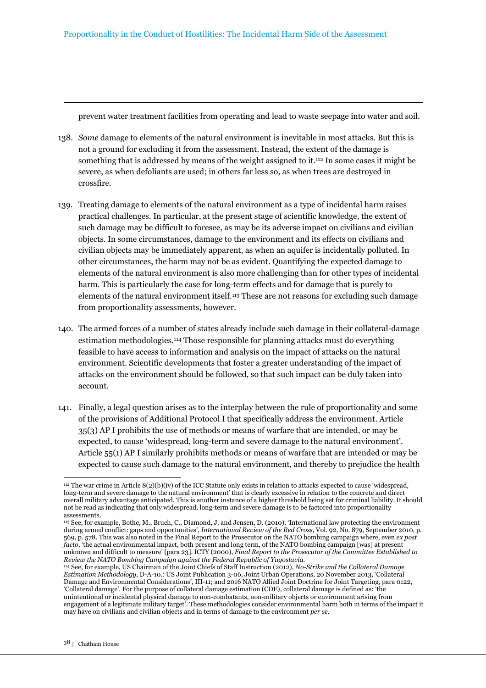prevent water treatment facilities from operating and lead to waste seepage into water and soil.

- 138. *Some* damage to elements of the natural environment is inevitable in most attacks. But this is not a ground for excluding it from the assessment. Instead, the extent of the damage is something that is addressed by means of the weight assigned to it.112 In some cases it might be severe, as when defoliants are used; in others far less so, as when trees are destroyed in crossfire.
- 139. Treating damage to elements of the natural environment as a type of incidental harm raises practical challenges. In particular, at the present stage of scientific knowledge, the extent of such damage may be difficult to foresee, as may be its adverse impact on civilians and civilian objects. In some circumstances, damage to the environment and its effects on civilians and civilian objects may be immediately apparent, as when an aquifer is incidentally polluted. In other circumstances, the harm may not be as evident. Quantifying the expected damage to elements of the natural environment is also more challenging than for other types of incidental harm. This is particularly the case for long-term effects and for damage that is purely to elements of the natural environment itself.113 These are not reasons for excluding such damage from proportionality assessments, however.
- 140. The armed forces of a number of states already include such damage in their collateral-damage estimation methodologies.114 Those responsible for planning attacks must do everything feasible to have access to information and analysis on the impact of attacks on the natural environment. Scientific developments that foster a greater understanding of the impact of attacks on the environment should be followed, so that such impact can be duly taken into account.
- 141. Finally, a legal question arises as to the interplay between the rule of proportionality and some of the provisions of Additional Protocol I that specifically address the environment. Article 35(3) AP I prohibits the use of methods or means of warfare that are intended, or may be expected, to cause 'widespread, long-term and severe damage to the natural environment'. Article 55(1) AP I similarly prohibits methods or means of warfare that are intended or may be expected to cause such damage to the natural environment, and thereby to prejudice the health

<sup>112</sup> The war crime in Article 8(2)(b)(iv) of the ICC Statute only exists in relation to attacks expected to cause 'widespread, long-term and severe damage to the natural environment' that is clearly excessive in relation to the concrete and direct overall military advantage anticipated. This is another instance of a higher threshold being set for criminal liability. It should not be read as indicating that only widespread, long-term and severe damage is to be factored into proportionality assessments.

<sup>113</sup> See, for example, Bothe, M., Bruch, C., Diamond, J. and Jensen, D. (2010), 'International law protecting the environment during armed conflict: gaps and opportunities', *International Review of the Red Cross*, Vol. 92, No. 879, September 2010, p. 569, p. 578. This was also noted in the Final Report to the Prosecutor on the NATO bombing campaign where, even *ex post facto*, 'the actual environmental impact, both present and long term, of the NATO bombing campaign [was] at present unknown and difficult to measure' [para 23]. ICTY (2000), *Final Report to the Prosecutor of the Committee Established to Review the NATO Bombing Campaign against the Federal Republic of Yugoslavia.*

<sup>114</sup> See, for example, US Chairman of the Joint Chiefs of Staff Instruction (2012), *No-Strike and the Collateral Damage Estimation Methodology*, D-A-10.: US Joint Publication 3-06, Joint Urban Operations, 20 November 2013, 'Collateral Damage and Environmental Considerations', III-11; and 2016 NATO Allied Joint Doctrine for Joint Targeting, para 0122, 'Collateral damage'. For the purpose of collateral damage estimation (CDE), collateral damage is defined as: 'the unintentional or incidental physical damage to non-combatants, non-military objects or environment arising from engagement of a legitimate military target'. These methodologies consider environmental harm both in terms of the impact it may have on civilians and civilian objects and in terms of damage to the environment *per se*.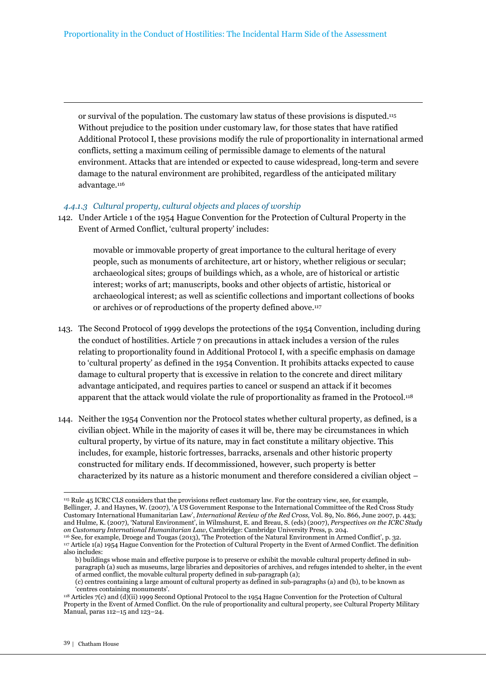or survival of the population. The customary law status of these provisions is disputed.<sup>115</sup> Without prejudice to the position under customary law, for those states that have ratified Additional Protocol I, these provisions modify the rule of proportionality in international armed conflicts, setting a maximum ceiling of permissible damage to elements of the natural environment. Attacks that are intended or expected to cause widespread, long-term and severe damage to the natural environment are prohibited, regardless of the anticipated military advantage.<sup>116</sup>

#### *4.4.1.3 Cultural property, cultural objects and places of worship*

142. Under Article 1 of the 1954 Hague Convention for the Protection of Cultural Property in the Event of Armed Conflict, 'cultural property' includes:

> movable or immovable property of great importance to the cultural heritage of every people, such as monuments of architecture, art or history, whether religious or secular; archaeological sites; groups of buildings which, as a whole, are of historical or artistic interest; works of art; manuscripts, books and other objects of artistic, historical or archaeological interest; as well as scientific collections and important collections of books or archives or of reproductions of the property defined above.<sup>117</sup>

- 143. The Second Protocol of 1999 develops the protections of the 1954 Convention, including during the conduct of hostilities. Article 7 on precautions in attack includes a version of the rules relating to proportionality found in Additional Protocol I, with a specific emphasis on damage to 'cultural property' as defined in the 1954 Convention. It prohibits attacks expected to cause damage to cultural property that is excessive in relation to the concrete and direct military advantage anticipated, and requires parties to cancel or suspend an attack if it becomes apparent that the attack would violate the rule of proportionality as framed in the Protocol.<sup>118</sup>
- 144. Neither the 1954 Convention nor the Protocol states whether cultural property, as defined, is a civilian object. While in the majority of cases it will be, there may be circumstances in which cultural property, by virtue of its nature, may in fact constitute a military objective. This includes, for example, historic fortresses, barracks, arsenals and other historic property constructed for military ends. If decommissioned, however, such property is better characterized by its nature as a historic monument and therefore considered a civilian object –

<sup>115</sup> Rule 45 ICRC CLS considers that the provisions reflect customary law. For the contrary view, see, for example, Bellinger, J. and Haynes, W. (2007), 'A US Government Response to the International Committee of the Red Cross Study Customary International Humanitarian Law', *International Review of the Red Cross,* Vol. 89, No. 866, June 2007, p. 443; and Hulme, K. (2007), 'Natural Environment', in Wilmshurst, E. and Breau, S. (eds) (2007), *Perspectives on the ICRC Study on Customary International Humanitarian Law*, Cambridge: Cambridge University Press, p. 204. <sup>116</sup> See, for example, Droege and Tougas (2013), 'The Protection of the Natural Environment in Armed Conflict', p. 32.

<sup>117</sup> Article 1(a) 1954 Hague Convention for the Protection of Cultural Property in the Event of Armed Conflict. The definition also includes:

b) buildings whose main and effective purpose is to preserve or exhibit the movable cultural property defined in subparagraph (a) such as museums, large libraries and depositories of archives, and refuges intended to shelter, in the event of armed conflict, the movable cultural property defined in sub-paragraph (a);

<sup>(</sup>c) centres containing a large amount of cultural property as defined in sub-paragraphs (a) and (b), to be known as 'centres containing monuments'.

<sup>118</sup> Articles 7(c) and (d)(ii) 1999 Second Optional Protocol to the 1954 Hague Convention for the Protection of Cultural Property in the Event of Armed Conflict. On the rule of proportionality and cultural property, see Cultural Property Military Manual, paras 112–15 and 123–24.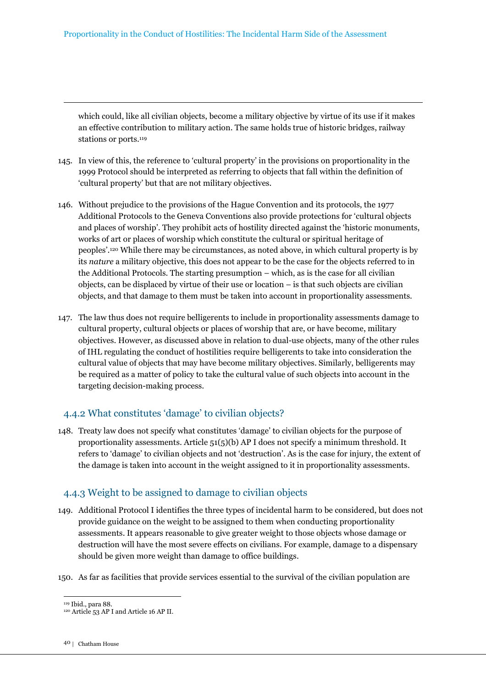which could, like all civilian objects, become a military objective by virtue of its use if it makes an effective contribution to military action. The same holds true of historic bridges, railway stations or ports.<sup>119</sup>

- 145. In view of this, the reference to 'cultural property' in the provisions on proportionality in the 1999 Protocol should be interpreted as referring to objects that fall within the definition of 'cultural property' but that are not military objectives.
- 146. Without prejudice to the provisions of the Hague Convention and its protocols, the 1977 Additional Protocols to the Geneva Conventions also provide protections for 'cultural objects and places of worship'. They prohibit acts of hostility directed against the 'historic monuments, works of art or places of worship which constitute the cultural or spiritual heritage of peoples'.120 While there may be circumstances, as noted above, in which cultural property is by its *nature* a military objective, this does not appear to be the case for the objects referred to in the Additional Protocols. The starting presumption – which, as is the case for all civilian objects, can be displaced by virtue of their use or location – is that such objects are civilian objects, and that damage to them must be taken into account in proportionality assessments.
- 147. The law thus does not require belligerents to include in proportionality assessments damage to cultural property, cultural objects or places of worship that are, or have become, military objectives. However, as discussed above in relation to dual-use objects, many of the other rules of IHL regulating the conduct of hostilities require belligerents to take into consideration the cultural value of objects that may have become military objectives. Similarly, belligerents may be required as a matter of policy to take the cultural value of such objects into account in the targeting decision-making process.

### 4.4.2 What constitutes 'damage' to civilian objects?

148. Treaty law does not specify what constitutes 'damage' to civilian objects for the purpose of proportionality assessments. Article 51(5)(b) AP I does not specify a minimum threshold. It refers to 'damage' to civilian objects and not 'destruction'. As is the case for injury, the extent of the damage is taken into account in the weight assigned to it in proportionality assessments.

### 4.4.3 Weight to be assigned to damage to civilian objects

- 149. Additional Protocol I identifies the three types of incidental harm to be considered, but does not provide guidance on the weight to be assigned to them when conducting proportionality assessments. It appears reasonable to give greater weight to those objects whose damage or destruction will have the most severe effects on civilians. For example, damage to a dispensary should be given more weight than damage to office buildings.
- 150. As far as facilities that provide services essential to the survival of the civilian population are

 $\overline{a}$ <sup>119</sup> Ibid., para 88.

<sup>120</sup> Article 53 AP I and Article 16 AP II.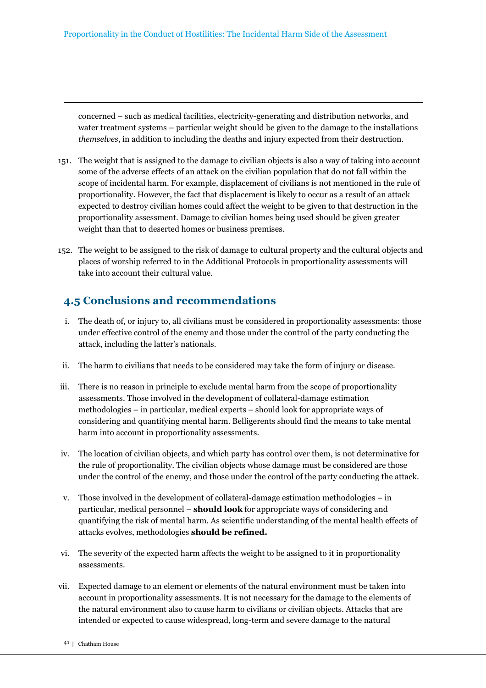concerned – such as medical facilities, electricity-generating and distribution networks, and water treatment systems – particular weight should be given to the damage to the installations *themselves*, in addition to including the deaths and injury expected from their destruction.

- 151. The weight that is assigned to the damage to civilian objects is also a way of taking into account some of the adverse effects of an attack on the civilian population that do not fall within the scope of incidental harm. For example, displacement of civilians is not mentioned in the rule of proportionality. However, the fact that displacement is likely to occur as a result of an attack expected to destroy civilian homes could affect the weight to be given to that destruction in the proportionality assessment. Damage to civilian homes being used should be given greater weight than that to deserted homes or business premises.
- 152. The weight to be assigned to the risk of damage to cultural property and the cultural objects and places of worship referred to in the Additional Protocols in proportionality assessments will take into account their cultural value.

# **4.5 Conclusions and recommendations**

- i. The death of, or injury to, all civilians must be considered in proportionality assessments: those under effective control of the enemy and those under the control of the party conducting the attack, including the latter's nationals.
- ii. The harm to civilians that needs to be considered may take the form of injury or disease.
- iii. There is no reason in principle to exclude mental harm from the scope of proportionality assessments. Those involved in the development of collateral-damage estimation methodologies – in particular, medical experts – should look for appropriate ways of considering and quantifying mental harm. Belligerents should find the means to take mental harm into account in proportionality assessments.
- iv. The location of civilian objects, and which party has control over them, is not determinative for the rule of proportionality. The civilian objects whose damage must be considered are those under the control of the enemy, and those under the control of the party conducting the attack.
- v. Those involved in the development of collateral-damage estimation methodologies in particular, medical personnel – **should look** for appropriate ways of considering and quantifying the risk of mental harm. As scientific understanding of the mental health effects of attacks evolves, methodologies **should be refined.**
- vi. The severity of the expected harm affects the weight to be assigned to it in proportionality assessments.
- vii. Expected damage to an element or elements of the natural environment must be taken into account in proportionality assessments. It is not necessary for the damage to the elements of the natural environment also to cause harm to civilians or civilian objects. Attacks that are intended or expected to cause widespread, long-term and severe damage to the natural
	- 41 | Chatham House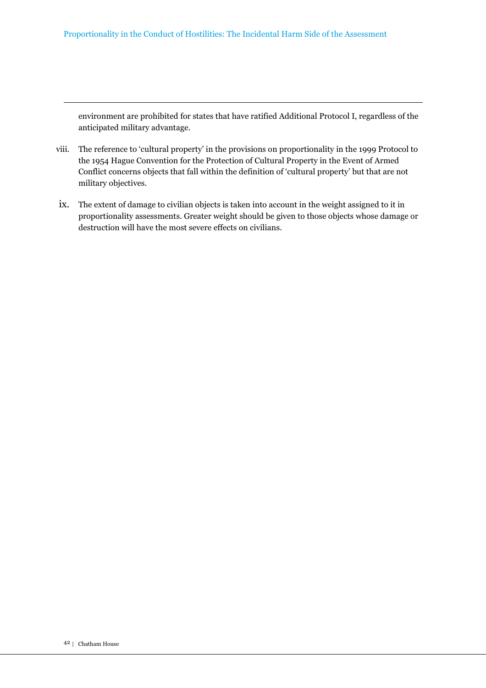environment are prohibited for states that have ratified Additional Protocol I, regardless of the anticipated military advantage.

- viii. The reference to 'cultural property' in the provisions on proportionality in the 1999 Protocol to the 1954 Hague Convention for the Protection of Cultural Property in the Event of Armed Conflict concerns objects that fall within the definition of 'cultural property' but that are not military objectives.
- ix. The extent of damage to civilian objects is taken into account in the weight assigned to it in proportionality assessments. Greater weight should be given to those objects whose damage or destruction will have the most severe effects on civilians.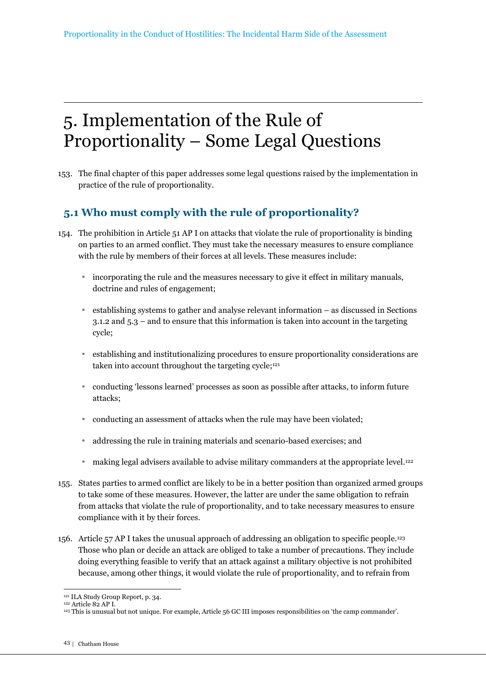# 5. Implementation of the Rule of Proportionality – Some Legal Questions

153. The final chapter of this paper addresses some legal questions raised by the implementation in practice of the rule of proportionality.

# **5.1 Who must comply with the rule of proportionality?**

- 154. The prohibition in Article 51 AP I on attacks that violate the rule of proportionality is binding on parties to an armed conflict. They must take the necessary measures to ensure compliance with the rule by members of their forces at all levels. These measures include:
	- incorporating the rule and the measures necessary to give it effect in military manuals, doctrine and rules of engagement;
	- establishing systems to gather and analyse relevant information as discussed in Sections 3.1.2 and 5.3 – and to ensure that this information is taken into account in the targeting cycle;
	- establishing and institutionalizing procedures to ensure proportionality considerations are taken into account throughout the targeting cycle;<sup>121</sup>
	- conducting 'lessons learned' processes as soon as possible after attacks, to inform future attacks;
	- conducting an assessment of attacks when the rule may have been violated;
	- addressing the rule in training materials and scenario-based exercises; and
	- making legal advisers available to advise military commanders at the appropriate level.<sup>122</sup>
- 155. States parties to armed conflict are likely to be in a better position than organized armed groups to take some of these measures. However, the latter are under the same obligation to refrain from attacks that violate the rule of proportionality, and to take necessary measures to ensure compliance with it by their forces.
- 156. Article 57 AP I takes the unusual approach of addressing an obligation to specific people.<sup>123</sup> Those who plan or decide an attack are obliged to take a number of precautions. They include doing everything feasible to verify that an attack against a military objective is not prohibited because, among other things, it would violate the rule of proportionality, and to refrain from

<sup>121</sup> ILA Study Group Report, p. 34.

<sup>122</sup> Article 82 AP I.

<sup>123</sup> This is unusual but not unique. For example, Article 56 GC III imposes responsibilities on 'the camp commander'.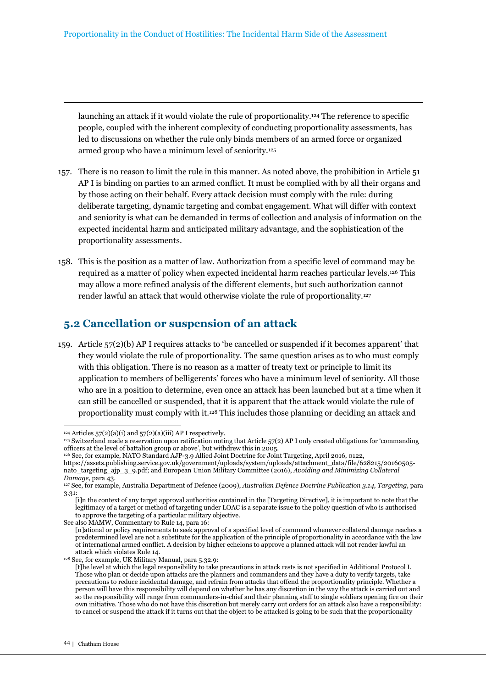launching an attack if it would violate the rule of proportionality.124 The reference to specific people, coupled with the inherent complexity of conducting proportionality assessments, has led to discussions on whether the rule only binds members of an armed force or organized armed group who have a minimum level of seniority.<sup>125</sup>

- 157. There is no reason to limit the rule in this manner. As noted above, the prohibition in Article 51 AP I is binding on parties to an armed conflict. It must be complied with by all their organs and by those acting on their behalf. Every attack decision must comply with the rule: during deliberate targeting, dynamic targeting and combat engagement. What will differ with context and seniority is what can be demanded in terms of collection and analysis of information on the expected incidental harm and anticipated military advantage, and the sophistication of the proportionality assessments.
- 158. This is the position as a matter of law. Authorization from a specific level of command may be required as a matter of policy when expected incidental harm reaches particular levels.126 This may allow a more refined analysis of the different elements, but such authorization cannot render lawful an attack that would otherwise violate the rule of proportionality.<sup>127</sup>

## **5.2 Cancellation or suspension of an attack**

159. Article 57(2)(b) AP I requires attacks to 'be cancelled or suspended if it becomes apparent' that they would violate the rule of proportionality. The same question arises as to who must comply with this obligation. There is no reason as a matter of treaty text or principle to limit its application to members of belligerents' forces who have a minimum level of seniority. All those who are in a position to determine, even once an attack has been launched but at a time when it can still be cancelled or suspended, that it is apparent that the attack would violate the rule of proportionality must comply with it.128 This includes those planning or deciding an attack and

 $\overline{a}$  $124$  Articles  $57(2)(a)(i)$  and  $57(2)(a)(iii)$  AP I respectively.

<sup>125</sup> Switzerland made a reservation upon ratification noting that Article 57(2) AP I only created obligations for 'commanding officers at the level of battalion group or above', but withdrew this in 2005.

<sup>126</sup> See, for example, NATO Standard AJP-3.9 Allied Joint Doctrine for Joint Targeting, April 2016, 0122,

https://assets.publishing.service.gov.uk/government/uploads/system/uploads/attachment\_data/file/628215/20160505 nato\_targeting\_ajp\_3\_9.pdf; and European Union Military Committee (2016), *Avoiding and Minimizing Collateral Damage*, para 43.

<sup>127</sup> See, for example, Australia Department of Defence (2009), *Australian Defence Doctrine Publication 3.14, Targeting*, para 3.31:

<sup>[</sup>i]n the context of any target approval authorities contained in the [Targeting Directive], it is important to note that the legitimacy of a target or method of targeting under LOAC is a separate issue to the policy question of who is authorised to approve the targeting of a particular military objective.

See also MAMW, Commentary to Rule 14, para 16:

<sup>[</sup>n]ational or policy requirements to seek approval of a specified level of command whenever collateral damage reaches a predetermined level are not a substitute for the application of the principle of proportionality in accordance with the law of international armed conflict. A decision by higher echelons to approve a planned attack will not render lawful an attack which violates Rule 14.

<sup>128</sup> See, for example, UK Military Manual, para 5.32.9:

<sup>[</sup>t]he level at which the legal responsibility to take precautions in attack rests is not specified in Additional Protocol I. Those who plan or decide upon attacks are the planners and commanders and they have a duty to verify targets, take precautions to reduce incidental damage, and refrain from attacks that offend the proportionality principle. Whether a person will have this responsibility will depend on whether he has any discretion in the way the attack is carried out and so the responsibility will range from commanders-in-chief and their planning staff to single soldiers opening fire on their own initiative. Those who do not have this discretion but merely carry out orders for an attack also have a responsibility: to cancel or suspend the attack if it turns out that the object to be attacked is going to be such that the proportionality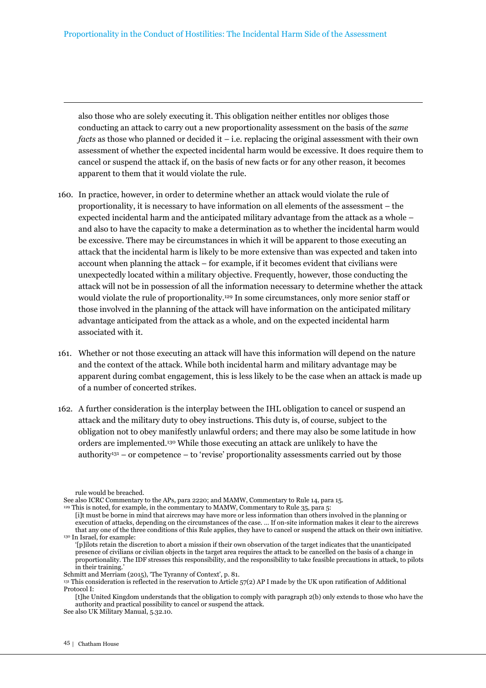also those who are solely executing it. This obligation neither entitles nor obliges those conducting an attack to carry out a new proportionality assessment on the basis of the *same facts* as those who planned or decided it – i.e. replacing the original assessment with their own assessment of whether the expected incidental harm would be excessive. It does require them to cancel or suspend the attack if, on the basis of new facts or for any other reason, it becomes apparent to them that it would violate the rule.

- 160. In practice, however, in order to determine whether an attack would violate the rule of proportionality, it is necessary to have information on all elements of the assessment – the expected incidental harm and the anticipated military advantage from the attack as a whole – and also to have the capacity to make a determination as to whether the incidental harm would be excessive. There may be circumstances in which it will be apparent to those executing an attack that the incidental harm is likely to be more extensive than was expected and taken into account when planning the attack – for example, if it becomes evident that civilians were unexpectedly located within a military objective. Frequently, however, those conducting the attack will not be in possession of all the information necessary to determine whether the attack would violate the rule of proportionality.129 In some circumstances, only more senior staff or those involved in the planning of the attack will have information on the anticipated military advantage anticipated from the attack as a whole, and on the expected incidental harm associated with it.
- 161. Whether or not those executing an attack will have this information will depend on the nature and the context of the attack. While both incidental harm and military advantage may be apparent during combat engagement, this is less likely to be the case when an attack is made up of a number of concerted strikes.
- 162. A further consideration is the interplay between the IHL obligation to cancel or suspend an attack and the military duty to obey instructions. This duty is, of course, subject to the obligation not to obey manifestly unlawful orders; and there may also be some latitude in how orders are implemented.130 While those executing an attack are unlikely to have the authority<sup>131</sup> – or competence – to 'revise' proportionality assessments carried out by those

rule would be breached.

See also ICRC Commentary to the APs, para 2220; and MAMW, Commentary to Rule 14, para 15.

 $129$  This is noted, for example, in the commentary to MAMW, Commentary to Rule 35, para 5:

<sup>[</sup>i]t must be borne in mind that aircrews may have more or less information than others involved in the planning or execution of attacks, depending on the circumstances of the case. … If on-site information makes it clear to the aircrews that any one of the three conditions of this Rule applies, they have to cancel or suspend the attack on their own initiative. <sup>130</sup> In Israel, for example:

<sup>&#</sup>x27;[p]ilots retain the discretion to abort a mission if their own observation of the target indicates that the unanticipated presence of civilians or civilian objects in the target area requires the attack to be cancelled on the basis of a change in proportionality. The IDF stresses this responsibility, and the responsibility to take feasible precautions in attack, to pilots in their training.'

Schmitt and Merriam (2015), 'The Tyranny of Context', p. 81.

<sup>131</sup> This consideration is reflected in the reservation to Article 57(2) AP I made by the UK upon ratification of Additional Protocol I:

<sup>[</sup>t]he United Kingdom understands that the obligation to comply with paragraph 2(b) only extends to those who have the authority and practical possibility to cancel or suspend the attack.

See also UK Military Manual, 5.32.10.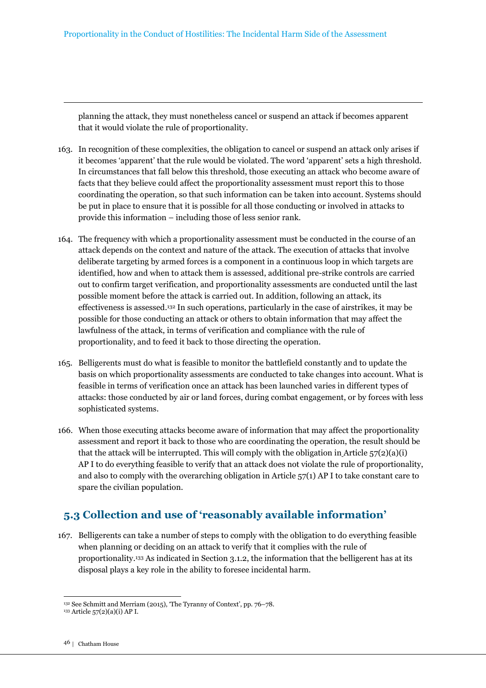planning the attack, they must nonetheless cancel or suspend an attack if becomes apparent that it would violate the rule of proportionality.

- 163. In recognition of these complexities, the obligation to cancel or suspend an attack only arises if it becomes 'apparent' that the rule would be violated. The word 'apparent' sets a high threshold. In circumstances that fall below this threshold, those executing an attack who become aware of facts that they believe could affect the proportionality assessment must report this to those coordinating the operation, so that such information can be taken into account. Systems should be put in place to ensure that it is possible for all those conducting or involved in attacks to provide this information – including those of less senior rank.
- 164. The frequency with which a proportionality assessment must be conducted in the course of an attack depends on the context and nature of the attack. The execution of attacks that involve deliberate targeting by armed forces is a component in a continuous loop in which targets are identified, how and when to attack them is assessed, additional pre-strike controls are carried out to confirm target verification, and proportionality assessments are conducted until the last possible moment before the attack is carried out. In addition, following an attack, its effectiveness is assessed.132 In such operations, particularly in the case of airstrikes, it may be possible for those conducting an attack or others to obtain information that may affect the lawfulness of the attack, in terms of verification and compliance with the rule of proportionality, and to feed it back to those directing the operation.
- 165. Belligerents must do what is feasible to monitor the battlefield constantly and to update the basis on which proportionality assessments are conducted to take changes into account. What is feasible in terms of verification once an attack has been launched varies in different types of attacks: those conducted by air or land forces, during combat engagement, or by forces with less sophisticated systems.
- 166. When those executing attacks become aware of information that may affect the proportionality assessment and report it back to those who are coordinating the operation, the result should be that the attack will be interrupted. This will comply with the obligation in Article  $57(2)(a)(i)$ AP I to do everything feasible to verify that an attack does not violate the rule of proportionality, and also to comply with the overarching obligation in Article 57(1) AP I to take constant care to spare the civilian population.

# **5.3 Collection and use of 'reasonably available information'**

167. Belligerents can take a number of steps to comply with the obligation to do everything feasible when planning or deciding on an attack to verify that it complies with the rule of proportionality.133 As indicated in Section 3.1.2, the information that the belligerent has at its disposal plays a key role in the ability to foresee incidental harm.

 $\overline{a}$ <sup>132</sup> See Schmitt and Merriam (2015), 'The Tyranny of Context', pp. 76–78.

<sup>133</sup> Article 57(2)(a)(i) AP I.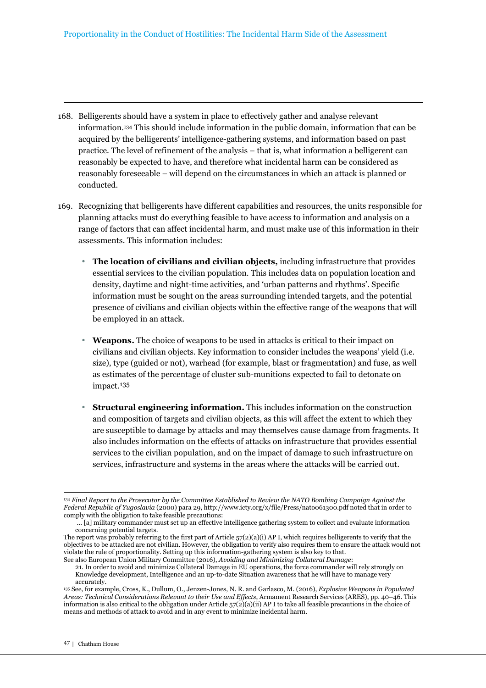- 168. Belligerents should have a system in place to effectively gather and analyse relevant information.134 This should include information in the public domain, information that can be acquired by the belligerents' intelligence-gathering systems, and information based on past practice. The level of refinement of the analysis – that is, what information a belligerent can reasonably be expected to have, and therefore what incidental harm can be considered as reasonably foreseeable – will depend on the circumstances in which an attack is planned or conducted.
- 169. Recognizing that belligerents have different capabilities and resources, the units responsible for planning attacks must do everything feasible to have access to information and analysis on a range of factors that can affect incidental harm, and must make use of this information in their assessments. This information includes:
	- **The location of civilians and civilian objects,** including infrastructure that provides essential services to the civilian population. This includes data on population location and density, daytime and night-time activities, and 'urban patterns and rhythms'. Specific information must be sought on the areas surrounding intended targets, and the potential presence of civilians and civilian objects within the effective range of the weapons that will be employed in an attack.
	- **Weapons.** The choice of weapons to be used in attacks is critical to their impact on civilians and civilian objects. Key information to consider includes the weapons' yield (i.e. size), type (guided or not), warhead (for example, blast or fragmentation) and fuse, as well as estimates of the percentage of cluster sub-munitions expected to fail to detonate on impact.135
	- **Structural engineering information.** This includes information on the construction and composition of targets and civilian objects, as this will affect the extent to which they are susceptible to damage by attacks and may themselves cause damage from fragments. It also includes information on the effects of attacks on infrastructure that provides essential services to the civilian population, and on the impact of damage to such infrastructure on services, infrastructure and systems in the areas where the attacks will be carried out.

 $\overline{a}$ <sup>134</sup> *Final Report to the Prosecutor by the Committee Established to Review the NATO Bombing Campaign Against the Federal Republic of Yugoslavia* (2000) para 29, http://www.icty.org/x/file/Press/nato061300.pdf noted that in order to comply with the obligation to take feasible precautions:

 <sup>... [</sup>a] military commander must set up an effective intelligence gathering system to collect and evaluate information concerning potential targets.

The report was probably referring to the first part of Article 57(2)(a)(i) AP I, which requires belligerents to verify that the objectives to be attacked are not civilian. However, the obligation to verify also requires them to ensure the attack would not violate the rule of proportionality. Setting up this information-gathering system is also key to that. See also European Union Military Committee (2016), *Avoiding and Minimizing Collateral Damage*:

<sup>21.</sup> In order to avoid and minimize Collateral Damage in EU operations, the force commander will rely strongly on Knowledge development, Intelligence and an up-to-date Situation awareness that he will have to manage very accurately.

<sup>135</sup> See, for example, Cross, K., Dullum, O., Jenzen-Jones, N. R. and Garlasco, M. (2016), *Explosive Weapons in Populated Areas: Technical Considerations Relevant to their Use and Effects*, Armament Research Services (ARES), pp. 40–46. This information is also critical to the obligation under Article  $57(2)(a)(ii)$  AP I to take all feasible precautions in the choice of means and methods of attack to avoid and in any event to minimize incidental harm.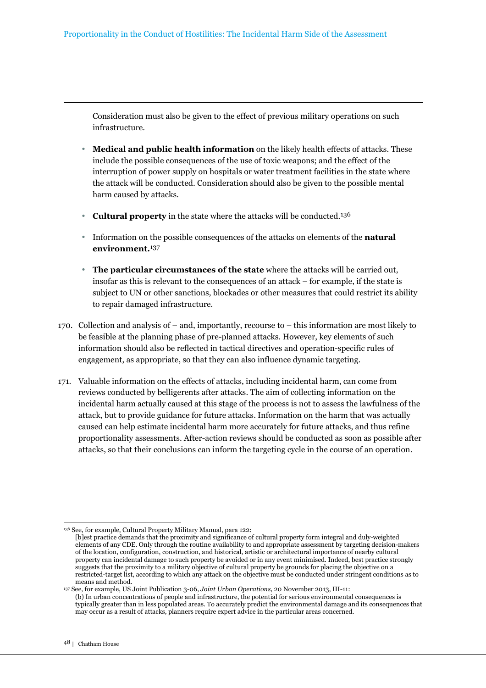Consideration must also be given to the effect of previous military operations on such infrastructure.

- **Medical and public health information** on the likely health effects of attacks. These include the possible consequences of the use of toxic weapons; and the effect of the interruption of power supply on hospitals or water treatment facilities in the state where the attack will be conducted. Consideration should also be given to the possible mental harm caused by attacks.
- **Cultural property** in the state where the attacks will be conducted.<sup>136</sup>
- Information on the possible consequences of the attacks on elements of the **natural environment.**137
- **The particular circumstances of the state** where the attacks will be carried out, insofar as this is relevant to the consequences of an attack – for example, if the state is subject to UN or other sanctions, blockades or other measures that could restrict its ability to repair damaged infrastructure.
- 170. Collection and analysis of and, importantly, recourse to this information are most likely to be feasible at the planning phase of pre-planned attacks. However, key elements of such information should also be reflected in tactical directives and operation-specific rules of engagement, as appropriate, so that they can also influence dynamic targeting.
- 171. Valuable information on the effects of attacks, including incidental harm, can come from reviews conducted by belligerents after attacks. The aim of collecting information on the incidental harm actually caused at this stage of the process is not to assess the lawfulness of the attack, but to provide guidance for future attacks. Information on the harm that was actually caused can help estimate incidental harm more accurately for future attacks, and thus refine proportionality assessments. After-action reviews should be conducted as soon as possible after attacks, so that their conclusions can inform the targeting cycle in the course of an operation.

<sup>136</sup> See, for example, Cultural Property Military Manual, para 122:

<sup>[</sup>b]est practice demands that the proximity and significance of cultural property form integral and duly-weighted elements of any CDE. Only through the routine availability to and appropriate assessment by targeting decision-makers of the location, configuration, construction, and historical, artistic or architectural importance of nearby cultural property can incidental damage to such property be avoided or in any event minimised. Indeed, best practice strongly suggests that the proximity to a military objective of cultural property be grounds for placing the objective on a restricted-target list, according to which any attack on the objective must be conducted under stringent conditions as to means and method.

<sup>137</sup> See, for example, US Joint Publication 3-06, *Joint Urban Operations*, 20 November 2013, III-11: (b) In urban concentrations of people and infrastructure, the potential for serious environmental consequences is typically greater than in less populated areas. To accurately predict the environmental damage and its consequences that may occur as a result of attacks, planners require expert advice in the particular areas concerned.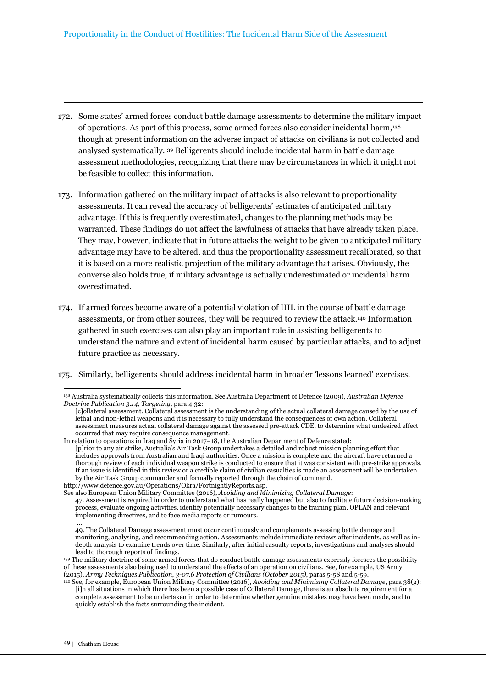- 172. Some states' armed forces conduct battle damage assessments to determine the military impact of operations. As part of this process, some armed forces also consider incidental harm,<sup>138</sup> though at present information on the adverse impact of attacks on civilians is not collected and analysed systematically.139 Belligerents should include incidental harm in battle damage assessment methodologies, recognizing that there may be circumstances in which it might not be feasible to collect this information.
- 173. Information gathered on the military impact of attacks is also relevant to proportionality assessments. It can reveal the accuracy of belligerents' estimates of anticipated military advantage. If this is frequently overestimated, changes to the planning methods may be warranted. These findings do not affect the lawfulness of attacks that have already taken place. They may, however, indicate that in future attacks the weight to be given to anticipated military advantage may have to be altered, and thus the proportionality assessment recalibrated, so that it is based on a more realistic projection of the military advantage that arises. Obviously, the converse also holds true, if military advantage is actually underestimated or incidental harm overestimated.
- 174. If armed forces become aware of a potential violation of IHL in the course of battle damage assessments, or from other sources, they will be required to review the attack.140 Information gathered in such exercises can also play an important role in assisting belligerents to understand the nature and extent of incidental harm caused by particular attacks, and to adjust future practice as necessary.
- 175. Similarly, belligerents should address incidental harm in broader 'lessons learned' exercises,

http://www.defence.gov.au/Operations/Okra/FortnightlyReports.asp.

49. The Collateral Damage assessment must occur continuously and complements assessing battle damage and monitoring, analysing, and recommending action. Assessments include immediate reviews after incidents, as well as indepth analysis to examine trends over time. Similarly, after initial casualty reports, investigations and analyses should lead to thorough reports of findings.

<sup>138</sup> Australia systematically collects this information. See Australia Department of Defence (2009), *Australian Defence Doctrine Publication 3.14, Targeting*, para 4.32:

<sup>[</sup>c]ollateral assessment. Collateral assessment is the understanding of the actual collateral damage caused by the use of lethal and non-lethal weapons and it is necessary to fully understand the consequences of own action. Collateral assessment measures actual collateral damage against the assessed pre-attack CDE, to determine what undesired effect occurred that may require consequence management.

In relation to operations in Iraq and Syria in 2017–18, the Australian Department of Defence stated: [p]rior to any air strike, Australia's Air Task Group undertakes a detailed and robust mission planning effort that includes approvals from Australian and Iraqi authorities. Once a mission is complete and the aircraft have returned a thorough review of each individual weapon strike is conducted to ensure that it was consistent with pre-strike approvals. If an issue is identified in this review or a credible claim of civilian casualties is made an assessment will be undertaken by the Air Task Group commander and formally reported through the chain of command.

See also European Union Military Committee (2016), *Avoiding and Minimizing Collateral Damage*: 47. Assessment is required in order to understand what has really happened but also to facilitate future decision-making process, evaluate ongoing activities, identify potentially necessary changes to the training plan, OPLAN and relevant

implementing directives, and to face media reports or rumours. …

<sup>139</sup> The military doctrine of some armed forces that do conduct battle damage assessments expressly foresees the possibility of these assessments also being used to understand the effects of an operation on civilians. See, for example, US Army (2015), *Army Techniques Publication, 3-07.6 Protection of Civilians (October 2015),* paras 5-58 and 5-59.

<sup>140</sup> See, for example, European Union Military Committee (2016), *Avoiding and Minimizing Collateral Damage*, para 38(g): [i]n all situations in which there has been a possible case of Collateral Damage, there is an absolute requirement for a complete assessment to be undertaken in order to determine whether genuine mistakes may have been made, and to quickly establish the facts surrounding the incident.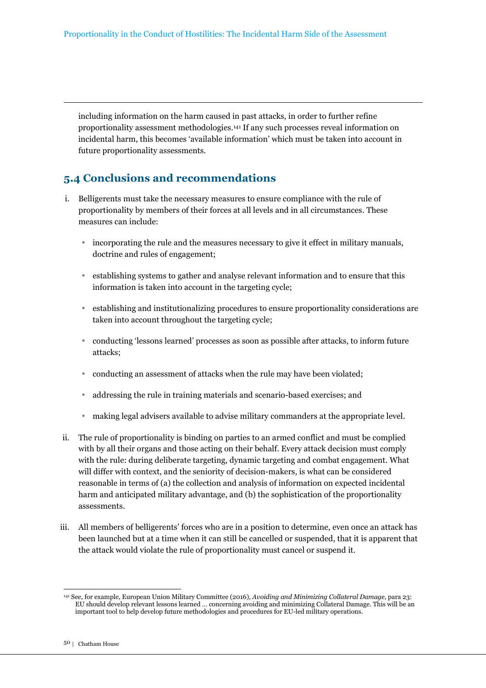including information on the harm caused in past attacks, in order to further refine proportionality assessment methodologies.141 If any such processes reveal information on incidental harm, this becomes 'available information' which must be taken into account in future proportionality assessments.

# **5.4 Conclusions and recommendations**

- i. Belligerents must take the necessary measures to ensure compliance with the rule of proportionality by members of their forces at all levels and in all circumstances. These measures can include:
	- incorporating the rule and the measures necessary to give it effect in military manuals, doctrine and rules of engagement;
	- establishing systems to gather and analyse relevant information and to ensure that this information is taken into account in the targeting cycle;
	- establishing and institutionalizing procedures to ensure proportionality considerations are taken into account throughout the targeting cycle;
	- conducting 'lessons learned' processes as soon as possible after attacks, to inform future attacks;
	- conducting an assessment of attacks when the rule may have been violated;
	- addressing the rule in training materials and scenario-based exercises; and
	- making legal advisers available to advise military commanders at the appropriate level.
- ii. The rule of proportionality is binding on parties to an armed conflict and must be complied with by all their organs and those acting on their behalf. Every attack decision must comply with the rule: during deliberate targeting, dynamic targeting and combat engagement. What will differ with context, and the seniority of decision-makers, is what can be considered reasonable in terms of (a) the collection and analysis of information on expected incidental harm and anticipated military advantage, and (b) the sophistication of the proportionality assessments.
- iii. All members of belligerents' forces who are in a position to determine, even once an attack has been launched but at a time when it can still be cancelled or suspended, that it is apparent that the attack would violate the rule of proportionality must cancel or suspend it.

<sup>141</sup> See, for example, European Union Military Committee (2016), *Avoiding and Minimizing Collateral Damage*, para 23: EU should develop relevant lessons learned … concerning avoiding and minimizing Collateral Damage. This will be an important tool to help develop future methodologies and procedures for EU-led military operations.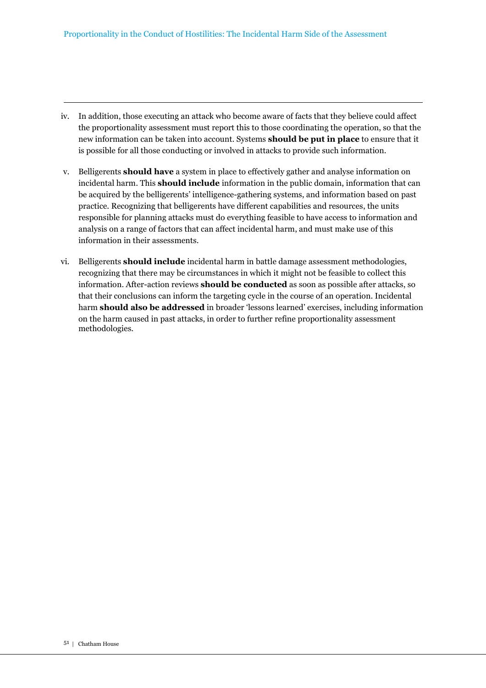- iv. In addition, those executing an attack who become aware of facts that they believe could affect the proportionality assessment must report this to those coordinating the operation, so that the new information can be taken into account. Systems **should be put in place** to ensure that it is possible for all those conducting or involved in attacks to provide such information.
- v. Belligerents **should have** a system in place to effectively gather and analyse information on incidental harm. This **should include** information in the public domain, information that can be acquired by the belligerents' intelligence-gathering systems, and information based on past practice. Recognizing that belligerents have different capabilities and resources, the units responsible for planning attacks must do everything feasible to have access to information and analysis on a range of factors that can affect incidental harm, and must make use of this information in their assessments.
- vi. Belligerents **should include** incidental harm in battle damage assessment methodologies, recognizing that there may be circumstances in which it might not be feasible to collect this information. After-action reviews **should be conducted** as soon as possible after attacks, so that their conclusions can inform the targeting cycle in the course of an operation. Incidental harm **should also be addressed** in broader 'lessons learned' exercises, including information on the harm caused in past attacks, in order to further refine proportionality assessment methodologies.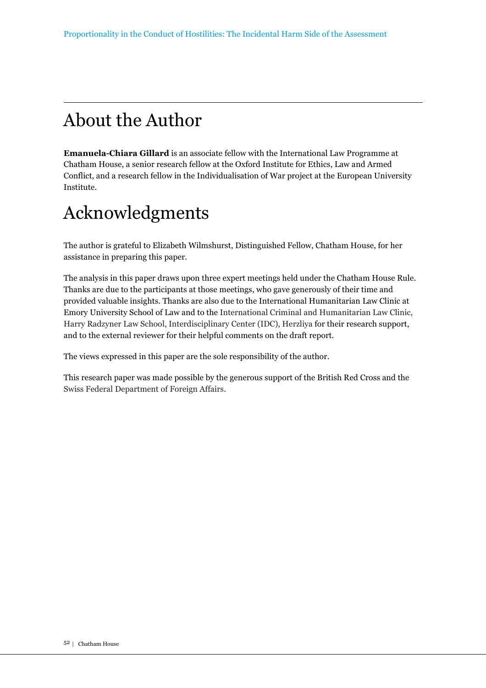# About the Author

**Emanuela-Chiara Gillard** is an associate fellow with the International Law Programme at Chatham House, a senior research fellow at the Oxford Institute for Ethics, Law and Armed Conflict, and a research fellow in the Individualisation of War project at the European University Institute.

# Acknowledgments

The author is grateful to Elizabeth Wilmshurst, Distinguished Fellow, Chatham House, for her assistance in preparing this paper.

The analysis in this paper draws upon three expert meetings held under the Chatham House Rule. Thanks are due to the participants at those meetings, who gave generously of their time and provided valuable insights. Thanks are also due to the International Humanitarian Law Clinic at Emory University School of Law and to the International Criminal and Humanitarian Law Clinic, Harry Radzyner Law School, Interdisciplinary Center (IDC), Herzliya for their research support, and to the external reviewer for their helpful comments on the draft report.

The views expressed in this paper are the sole responsibility of the author.

This research paper was made possible by the generous support of the British Red Cross and the Swiss Federal Department of Foreign Affairs.